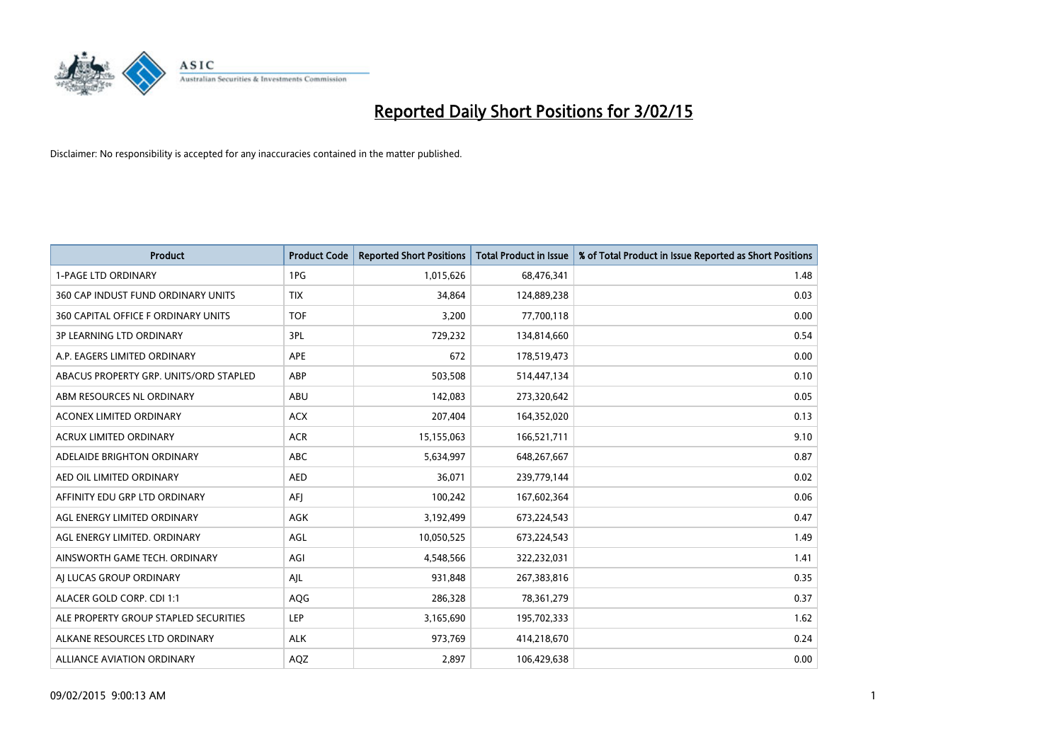

| <b>Product</b>                         | <b>Product Code</b> | <b>Reported Short Positions</b> | <b>Total Product in Issue</b> | % of Total Product in Issue Reported as Short Positions |
|----------------------------------------|---------------------|---------------------------------|-------------------------------|---------------------------------------------------------|
| <b>1-PAGE LTD ORDINARY</b>             | 1PG                 | 1,015,626                       | 68,476,341                    | 1.48                                                    |
| 360 CAP INDUST FUND ORDINARY UNITS     | <b>TIX</b>          | 34,864                          | 124,889,238                   | 0.03                                                    |
| 360 CAPITAL OFFICE F ORDINARY UNITS    | <b>TOF</b>          | 3,200                           | 77,700,118                    | 0.00                                                    |
| 3P LEARNING LTD ORDINARY               | 3PL                 | 729,232                         | 134,814,660                   | 0.54                                                    |
| A.P. EAGERS LIMITED ORDINARY           | <b>APE</b>          | 672                             | 178,519,473                   | 0.00                                                    |
| ABACUS PROPERTY GRP. UNITS/ORD STAPLED | ABP                 | 503,508                         | 514,447,134                   | 0.10                                                    |
| ABM RESOURCES NL ORDINARY              | ABU                 | 142,083                         | 273,320,642                   | 0.05                                                    |
| ACONEX LIMITED ORDINARY                | <b>ACX</b>          | 207,404                         | 164,352,020                   | 0.13                                                    |
| <b>ACRUX LIMITED ORDINARY</b>          | <b>ACR</b>          | 15,155,063                      | 166,521,711                   | 9.10                                                    |
| ADELAIDE BRIGHTON ORDINARY             | <b>ABC</b>          | 5,634,997                       | 648,267,667                   | 0.87                                                    |
| AED OIL LIMITED ORDINARY               | <b>AED</b>          | 36,071                          | 239,779,144                   | 0.02                                                    |
| AFFINITY EDU GRP LTD ORDINARY          | AFJ                 | 100,242                         | 167,602,364                   | 0.06                                                    |
| AGL ENERGY LIMITED ORDINARY            | AGK                 | 3,192,499                       | 673,224,543                   | 0.47                                                    |
| AGL ENERGY LIMITED. ORDINARY           | AGL                 | 10,050,525                      | 673,224,543                   | 1.49                                                    |
| AINSWORTH GAME TECH. ORDINARY          | AGI                 | 4,548,566                       | 322,232,031                   | 1.41                                                    |
| AI LUCAS GROUP ORDINARY                | AJL                 | 931,848                         | 267,383,816                   | 0.35                                                    |
| ALACER GOLD CORP. CDI 1:1              | AQG                 | 286,328                         | 78,361,279                    | 0.37                                                    |
| ALE PROPERTY GROUP STAPLED SECURITIES  | LEP                 | 3,165,690                       | 195,702,333                   | 1.62                                                    |
| ALKANE RESOURCES LTD ORDINARY          | <b>ALK</b>          | 973,769                         | 414,218,670                   | 0.24                                                    |
| <b>ALLIANCE AVIATION ORDINARY</b>      | AQZ                 | 2,897                           | 106,429,638                   | 0.00                                                    |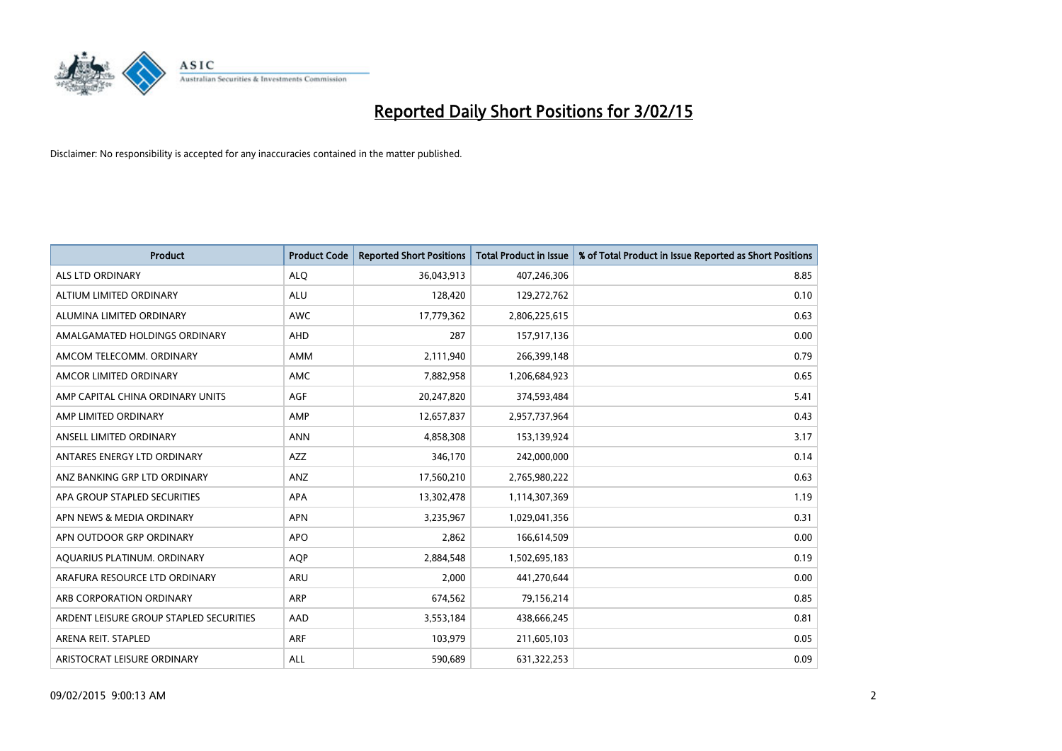

| <b>Product</b>                          | <b>Product Code</b> | <b>Reported Short Positions</b> | <b>Total Product in Issue</b> | % of Total Product in Issue Reported as Short Positions |
|-----------------------------------------|---------------------|---------------------------------|-------------------------------|---------------------------------------------------------|
| ALS LTD ORDINARY                        | <b>ALQ</b>          | 36,043,913                      | 407,246,306                   | 8.85                                                    |
| ALTIUM LIMITED ORDINARY                 | <b>ALU</b>          | 128,420                         | 129,272,762                   | 0.10                                                    |
| ALUMINA LIMITED ORDINARY                | <b>AWC</b>          | 17,779,362                      | 2,806,225,615                 | 0.63                                                    |
| AMALGAMATED HOLDINGS ORDINARY           | <b>AHD</b>          | 287                             | 157,917,136                   | 0.00                                                    |
| AMCOM TELECOMM, ORDINARY                | <b>AMM</b>          | 2,111,940                       | 266,399,148                   | 0.79                                                    |
| AMCOR LIMITED ORDINARY                  | <b>AMC</b>          | 7,882,958                       | 1,206,684,923                 | 0.65                                                    |
| AMP CAPITAL CHINA ORDINARY UNITS        | AGF                 | 20,247,820                      | 374,593,484                   | 5.41                                                    |
| AMP LIMITED ORDINARY                    | AMP                 | 12,657,837                      | 2,957,737,964                 | 0.43                                                    |
| ANSELL LIMITED ORDINARY                 | <b>ANN</b>          | 4,858,308                       | 153,139,924                   | 3.17                                                    |
| ANTARES ENERGY LTD ORDINARY             | <b>AZZ</b>          | 346,170                         | 242,000,000                   | 0.14                                                    |
| ANZ BANKING GRP LTD ORDINARY            | ANZ                 | 17,560,210                      | 2,765,980,222                 | 0.63                                                    |
| APA GROUP STAPLED SECURITIES            | APA                 | 13,302,478                      | 1,114,307,369                 | 1.19                                                    |
| APN NEWS & MEDIA ORDINARY               | <b>APN</b>          | 3,235,967                       | 1,029,041,356                 | 0.31                                                    |
| APN OUTDOOR GRP ORDINARY                | <b>APO</b>          | 2,862                           | 166,614,509                   | 0.00                                                    |
| AQUARIUS PLATINUM. ORDINARY             | <b>AOP</b>          | 2,884,548                       | 1,502,695,183                 | 0.19                                                    |
| ARAFURA RESOURCE LTD ORDINARY           | ARU                 | 2,000                           | 441,270,644                   | 0.00                                                    |
| ARB CORPORATION ORDINARY                | ARP                 | 674,562                         | 79,156,214                    | 0.85                                                    |
| ARDENT LEISURE GROUP STAPLED SECURITIES | AAD                 | 3,553,184                       | 438,666,245                   | 0.81                                                    |
| ARENA REIT. STAPLED                     | <b>ARF</b>          | 103,979                         | 211,605,103                   | 0.05                                                    |
| ARISTOCRAT LEISURE ORDINARY             | ALL                 | 590,689                         | 631,322,253                   | 0.09                                                    |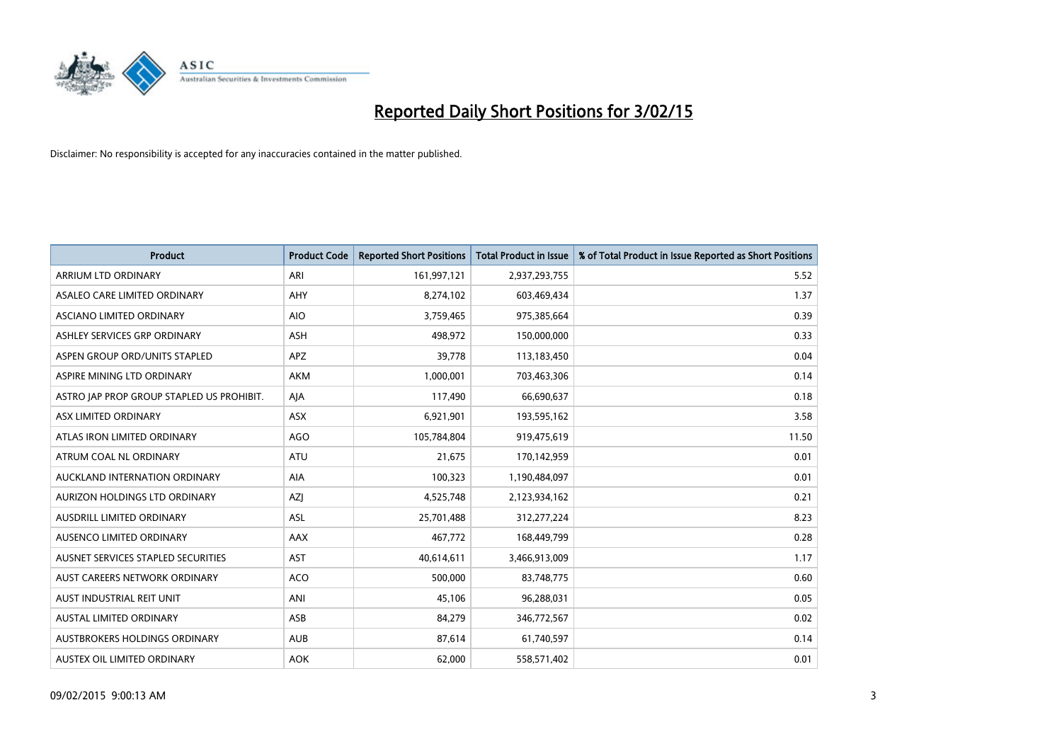

| <b>Product</b>                            | <b>Product Code</b> | <b>Reported Short Positions</b> | <b>Total Product in Issue</b> | % of Total Product in Issue Reported as Short Positions |
|-------------------------------------------|---------------------|---------------------------------|-------------------------------|---------------------------------------------------------|
| ARRIUM LTD ORDINARY                       | ARI                 | 161,997,121                     | 2,937,293,755                 | 5.52                                                    |
| ASALEO CARE LIMITED ORDINARY              | <b>AHY</b>          | 8,274,102                       | 603,469,434                   | 1.37                                                    |
| ASCIANO LIMITED ORDINARY                  | <b>AIO</b>          | 3,759,465                       | 975,385,664                   | 0.39                                                    |
| ASHLEY SERVICES GRP ORDINARY              | <b>ASH</b>          | 498,972                         | 150,000,000                   | 0.33                                                    |
| ASPEN GROUP ORD/UNITS STAPLED             | APZ                 | 39,778                          | 113,183,450                   | 0.04                                                    |
| ASPIRE MINING LTD ORDINARY                | <b>AKM</b>          | 1,000,001                       | 703,463,306                   | 0.14                                                    |
| ASTRO JAP PROP GROUP STAPLED US PROHIBIT. | AJA                 | 117,490                         | 66,690,637                    | 0.18                                                    |
| ASX LIMITED ORDINARY                      | ASX                 | 6,921,901                       | 193,595,162                   | 3.58                                                    |
| ATLAS IRON LIMITED ORDINARY               | <b>AGO</b>          | 105,784,804                     | 919,475,619                   | 11.50                                                   |
| ATRUM COAL NL ORDINARY                    | <b>ATU</b>          | 21,675                          | 170,142,959                   | 0.01                                                    |
| AUCKLAND INTERNATION ORDINARY             | AIA                 | 100,323                         | 1,190,484,097                 | 0.01                                                    |
| AURIZON HOLDINGS LTD ORDINARY             | AZJ                 | 4,525,748                       | 2,123,934,162                 | 0.21                                                    |
| AUSDRILL LIMITED ORDINARY                 | ASL                 | 25,701,488                      | 312,277,224                   | 8.23                                                    |
| AUSENCO LIMITED ORDINARY                  | AAX                 | 467,772                         | 168,449,799                   | 0.28                                                    |
| AUSNET SERVICES STAPLED SECURITIES        | <b>AST</b>          | 40,614,611                      | 3,466,913,009                 | 1.17                                                    |
| AUST CAREERS NETWORK ORDINARY             | <b>ACO</b>          | 500,000                         | 83,748,775                    | 0.60                                                    |
| AUST INDUSTRIAL REIT UNIT                 | ANI                 | 45,106                          | 96,288,031                    | 0.05                                                    |
| <b>AUSTAL LIMITED ORDINARY</b>            | ASB                 | 84,279                          | 346,772,567                   | 0.02                                                    |
| <b>AUSTBROKERS HOLDINGS ORDINARY</b>      | <b>AUB</b>          | 87,614                          | 61,740,597                    | 0.14                                                    |
| AUSTEX OIL LIMITED ORDINARY               | <b>AOK</b>          | 62,000                          | 558,571,402                   | 0.01                                                    |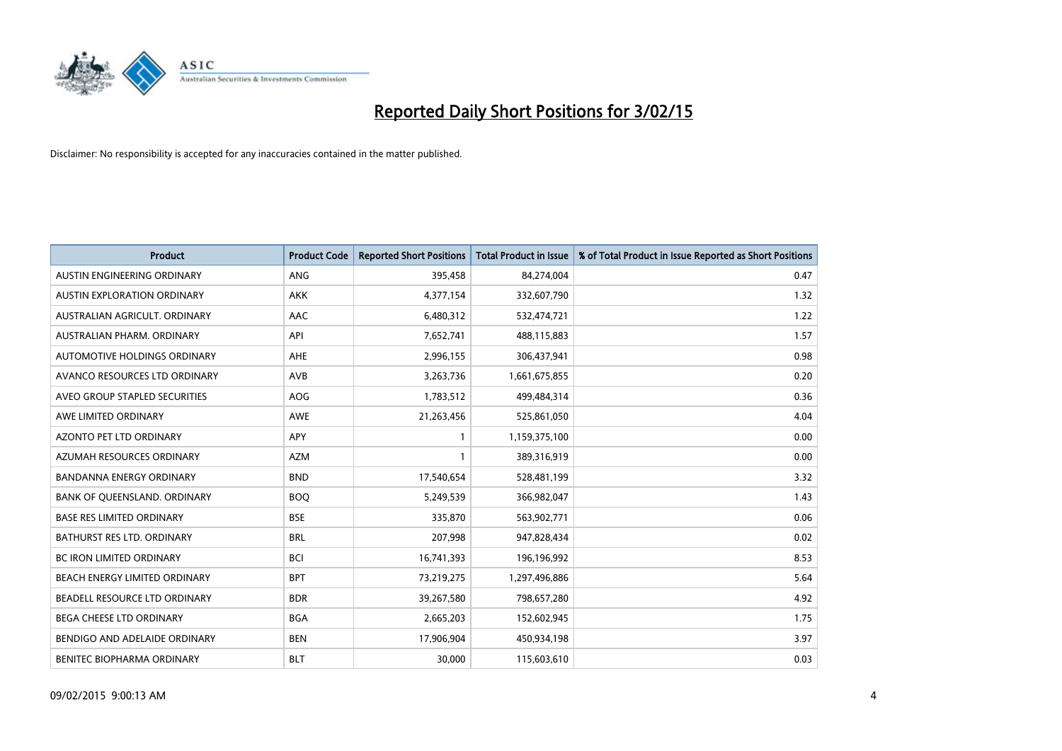

| <b>Product</b>                    | <b>Product Code</b> | <b>Reported Short Positions</b> | <b>Total Product in Issue</b> | % of Total Product in Issue Reported as Short Positions |
|-----------------------------------|---------------------|---------------------------------|-------------------------------|---------------------------------------------------------|
| AUSTIN ENGINEERING ORDINARY       | ANG                 | 395,458                         | 84,274,004                    | 0.47                                                    |
| AUSTIN EXPLORATION ORDINARY       | <b>AKK</b>          | 4,377,154                       | 332,607,790                   | 1.32                                                    |
| AUSTRALIAN AGRICULT, ORDINARY     | AAC                 | 6,480,312                       | 532,474,721                   | 1.22                                                    |
| AUSTRALIAN PHARM. ORDINARY        | API                 | 7,652,741                       | 488,115,883                   | 1.57                                                    |
| AUTOMOTIVE HOLDINGS ORDINARY      | AHE                 | 2,996,155                       | 306,437,941                   | 0.98                                                    |
| AVANCO RESOURCES LTD ORDINARY     | AVB                 | 3,263,736                       | 1,661,675,855                 | 0.20                                                    |
| AVEO GROUP STAPLED SECURITIES     | AOG                 | 1,783,512                       | 499,484,314                   | 0.36                                                    |
| AWE LIMITED ORDINARY              | AWE                 | 21,263,456                      | 525,861,050                   | 4.04                                                    |
| <b>AZONTO PET LTD ORDINARY</b>    | APY                 | $\mathbf{1}$                    | 1,159,375,100                 | 0.00                                                    |
| AZUMAH RESOURCES ORDINARY         | <b>AZM</b>          | 1                               | 389,316,919                   | 0.00                                                    |
| BANDANNA ENERGY ORDINARY          | <b>BND</b>          | 17,540,654                      | 528,481,199                   | 3.32                                                    |
| BANK OF QUEENSLAND. ORDINARY      | <b>BOQ</b>          | 5,249,539                       | 366,982,047                   | 1.43                                                    |
| <b>BASE RES LIMITED ORDINARY</b>  | <b>BSE</b>          | 335,870                         | 563,902,771                   | 0.06                                                    |
| <b>BATHURST RES LTD. ORDINARY</b> | <b>BRL</b>          | 207,998                         | 947,828,434                   | 0.02                                                    |
| <b>BC IRON LIMITED ORDINARY</b>   | <b>BCI</b>          | 16,741,393                      | 196,196,992                   | 8.53                                                    |
| BEACH ENERGY LIMITED ORDINARY     | <b>BPT</b>          | 73,219,275                      | 1,297,496,886                 | 5.64                                                    |
| BEADELL RESOURCE LTD ORDINARY     | <b>BDR</b>          | 39,267,580                      | 798,657,280                   | 4.92                                                    |
| BEGA CHEESE LTD ORDINARY          | <b>BGA</b>          | 2,665,203                       | 152,602,945                   | 1.75                                                    |
| BENDIGO AND ADELAIDE ORDINARY     | <b>BEN</b>          | 17,906,904                      | 450,934,198                   | 3.97                                                    |
| BENITEC BIOPHARMA ORDINARY        | <b>BLT</b>          | 30,000                          | 115,603,610                   | 0.03                                                    |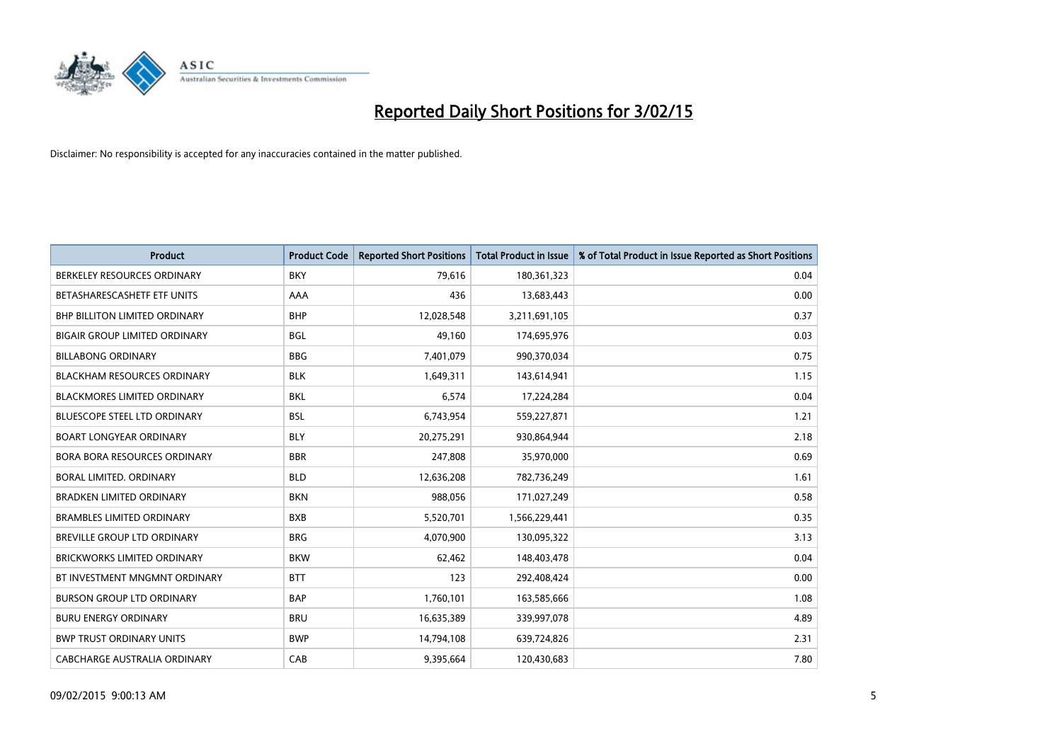

| <b>Product</b>                       | <b>Product Code</b> | <b>Reported Short Positions</b> | <b>Total Product in Issue</b> | % of Total Product in Issue Reported as Short Positions |
|--------------------------------------|---------------------|---------------------------------|-------------------------------|---------------------------------------------------------|
| BERKELEY RESOURCES ORDINARY          | <b>BKY</b>          | 79,616                          | 180,361,323                   | 0.04                                                    |
| BETASHARESCASHETF ETF UNITS          | AAA                 | 436                             | 13,683,443                    | 0.00                                                    |
| <b>BHP BILLITON LIMITED ORDINARY</b> | <b>BHP</b>          | 12,028,548                      | 3,211,691,105                 | 0.37                                                    |
| <b>BIGAIR GROUP LIMITED ORDINARY</b> | <b>BGL</b>          | 49,160                          | 174,695,976                   | 0.03                                                    |
| <b>BILLABONG ORDINARY</b>            | <b>BBG</b>          | 7,401,079                       | 990,370,034                   | 0.75                                                    |
| <b>BLACKHAM RESOURCES ORDINARY</b>   | <b>BLK</b>          | 1,649,311                       | 143,614,941                   | 1.15                                                    |
| <b>BLACKMORES LIMITED ORDINARY</b>   | <b>BKL</b>          | 6,574                           | 17,224,284                    | 0.04                                                    |
| BLUESCOPE STEEL LTD ORDINARY         | <b>BSL</b>          | 6,743,954                       | 559,227,871                   | 1.21                                                    |
| <b>BOART LONGYEAR ORDINARY</b>       | <b>BLY</b>          | 20,275,291                      | 930,864,944                   | 2.18                                                    |
| <b>BORA BORA RESOURCES ORDINARY</b>  | <b>BBR</b>          | 247,808                         | 35,970,000                    | 0.69                                                    |
| BORAL LIMITED. ORDINARY              | <b>BLD</b>          | 12,636,208                      | 782,736,249                   | 1.61                                                    |
| <b>BRADKEN LIMITED ORDINARY</b>      | <b>BKN</b>          | 988,056                         | 171,027,249                   | 0.58                                                    |
| <b>BRAMBLES LIMITED ORDINARY</b>     | <b>BXB</b>          | 5,520,701                       | 1,566,229,441                 | 0.35                                                    |
| <b>BREVILLE GROUP LTD ORDINARY</b>   | <b>BRG</b>          | 4,070,900                       | 130,095,322                   | 3.13                                                    |
| <b>BRICKWORKS LIMITED ORDINARY</b>   | <b>BKW</b>          | 62,462                          | 148,403,478                   | 0.04                                                    |
| BT INVESTMENT MNGMNT ORDINARY        | <b>BTT</b>          | 123                             | 292,408,424                   | 0.00                                                    |
| <b>BURSON GROUP LTD ORDINARY</b>     | <b>BAP</b>          | 1,760,101                       | 163,585,666                   | 1.08                                                    |
| <b>BURU ENERGY ORDINARY</b>          | <b>BRU</b>          | 16,635,389                      | 339,997,078                   | 4.89                                                    |
| <b>BWP TRUST ORDINARY UNITS</b>      | <b>BWP</b>          | 14,794,108                      | 639,724,826                   | 2.31                                                    |
| CABCHARGE AUSTRALIA ORDINARY         | CAB                 | 9,395,664                       | 120,430,683                   | 7.80                                                    |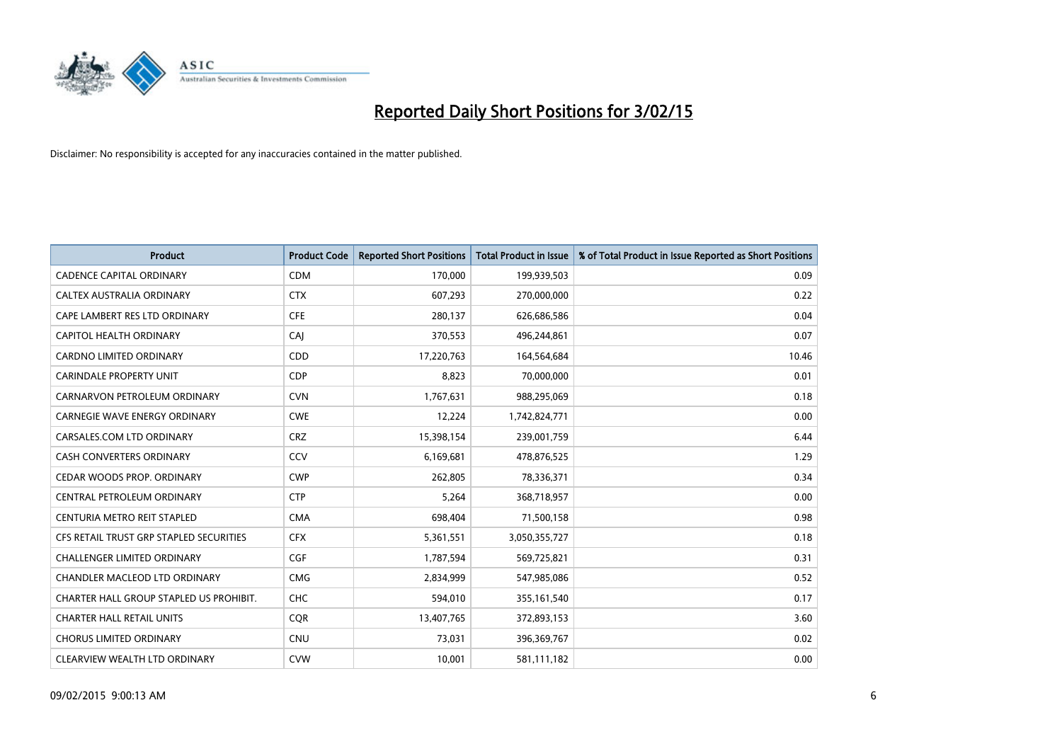

| <b>Product</b>                          | <b>Product Code</b> | <b>Reported Short Positions</b> | <b>Total Product in Issue</b> | % of Total Product in Issue Reported as Short Positions |
|-----------------------------------------|---------------------|---------------------------------|-------------------------------|---------------------------------------------------------|
| <b>CADENCE CAPITAL ORDINARY</b>         | <b>CDM</b>          | 170,000                         | 199,939,503                   | 0.09                                                    |
| CALTEX AUSTRALIA ORDINARY               | <b>CTX</b>          | 607,293                         | 270,000,000                   | 0.22                                                    |
| CAPE LAMBERT RES LTD ORDINARY           | <b>CFE</b>          | 280,137                         | 626,686,586                   | 0.04                                                    |
| <b>CAPITOL HEALTH ORDINARY</b>          | CAJ                 | 370,553                         | 496,244,861                   | 0.07                                                    |
| <b>CARDNO LIMITED ORDINARY</b>          | CDD                 | 17,220,763                      | 164,564,684                   | 10.46                                                   |
| <b>CARINDALE PROPERTY UNIT</b>          | <b>CDP</b>          | 8,823                           | 70,000,000                    | 0.01                                                    |
| CARNARVON PETROLEUM ORDINARY            | <b>CVN</b>          | 1,767,631                       | 988,295,069                   | 0.18                                                    |
| <b>CARNEGIE WAVE ENERGY ORDINARY</b>    | <b>CWE</b>          | 12,224                          | 1,742,824,771                 | 0.00                                                    |
| CARSALES.COM LTD ORDINARY               | <b>CRZ</b>          | 15,398,154                      | 239,001,759                   | 6.44                                                    |
| <b>CASH CONVERTERS ORDINARY</b>         | CCV                 | 6,169,681                       | 478,876,525                   | 1.29                                                    |
| CEDAR WOODS PROP. ORDINARY              | <b>CWP</b>          | 262,805                         | 78,336,371                    | 0.34                                                    |
| CENTRAL PETROLEUM ORDINARY              | <b>CTP</b>          | 5,264                           | 368,718,957                   | 0.00                                                    |
| CENTURIA METRO REIT STAPLED             | <b>CMA</b>          | 698,404                         | 71,500,158                    | 0.98                                                    |
| CFS RETAIL TRUST GRP STAPLED SECURITIES | <b>CFX</b>          | 5,361,551                       | 3,050,355,727                 | 0.18                                                    |
| <b>CHALLENGER LIMITED ORDINARY</b>      | <b>CGF</b>          | 1,787,594                       | 569,725,821                   | 0.31                                                    |
| CHANDLER MACLEOD LTD ORDINARY           | <b>CMG</b>          | 2,834,999                       | 547,985,086                   | 0.52                                                    |
| CHARTER HALL GROUP STAPLED US PROHIBIT. | <b>CHC</b>          | 594,010                         | 355,161,540                   | 0.17                                                    |
| <b>CHARTER HALL RETAIL UNITS</b>        | <b>CQR</b>          | 13,407,765                      | 372,893,153                   | 3.60                                                    |
| <b>CHORUS LIMITED ORDINARY</b>          | <b>CNU</b>          | 73,031                          | 396,369,767                   | 0.02                                                    |
| CLEARVIEW WEALTH LTD ORDINARY           | <b>CVW</b>          | 10,001                          | 581,111,182                   | 0.00                                                    |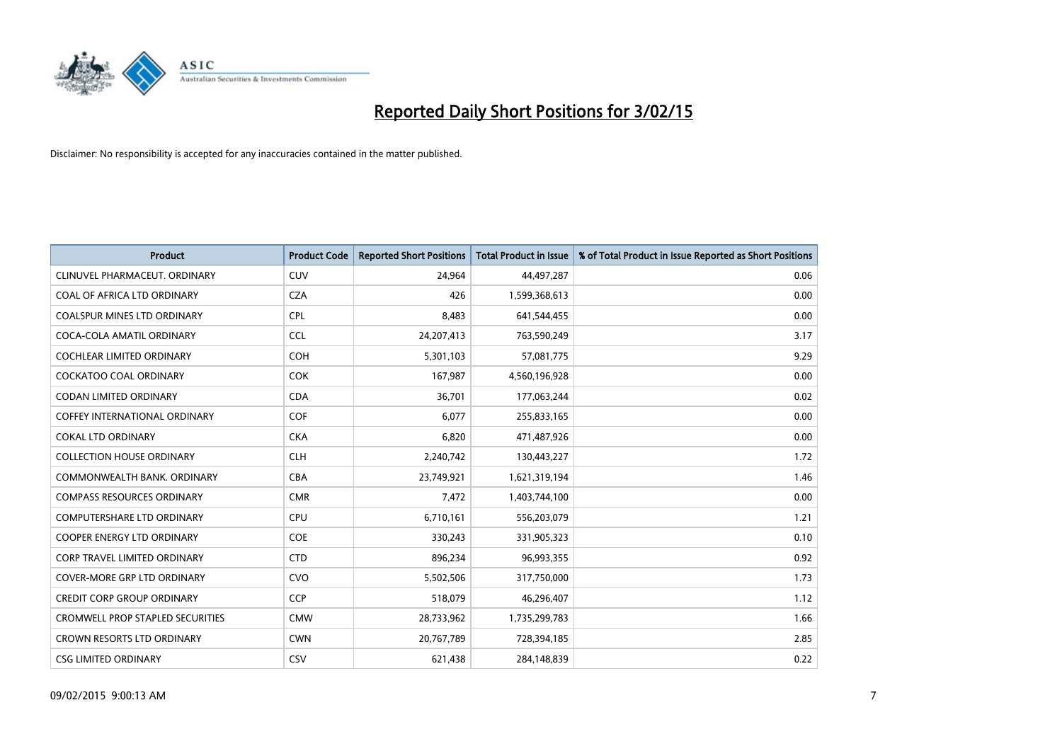

| <b>Product</b>                          | <b>Product Code</b> | <b>Reported Short Positions</b> | <b>Total Product in Issue</b> | % of Total Product in Issue Reported as Short Positions |
|-----------------------------------------|---------------------|---------------------------------|-------------------------------|---------------------------------------------------------|
| CLINUVEL PHARMACEUT, ORDINARY           | <b>CUV</b>          | 24,964                          | 44,497,287                    | 0.06                                                    |
| COAL OF AFRICA LTD ORDINARY             | <b>CZA</b>          | 426                             | 1,599,368,613                 | 0.00                                                    |
| COALSPUR MINES LTD ORDINARY             | <b>CPL</b>          | 8,483                           | 641,544,455                   | 0.00                                                    |
| COCA-COLA AMATIL ORDINARY               | <b>CCL</b>          | 24,207,413                      | 763,590,249                   | 3.17                                                    |
| <b>COCHLEAR LIMITED ORDINARY</b>        | <b>COH</b>          | 5,301,103                       | 57,081,775                    | 9.29                                                    |
| <b>COCKATOO COAL ORDINARY</b>           | <b>COK</b>          | 167,987                         | 4,560,196,928                 | 0.00                                                    |
| CODAN LIMITED ORDINARY                  | <b>CDA</b>          | 36,701                          | 177,063,244                   | 0.02                                                    |
| COFFEY INTERNATIONAL ORDINARY           | <b>COF</b>          | 6,077                           | 255,833,165                   | 0.00                                                    |
| <b>COKAL LTD ORDINARY</b>               | <b>CKA</b>          | 6,820                           | 471,487,926                   | 0.00                                                    |
| <b>COLLECTION HOUSE ORDINARY</b>        | <b>CLH</b>          | 2,240,742                       | 130,443,227                   | 1.72                                                    |
| COMMONWEALTH BANK, ORDINARY             | <b>CBA</b>          | 23,749,921                      | 1,621,319,194                 | 1.46                                                    |
| <b>COMPASS RESOURCES ORDINARY</b>       | <b>CMR</b>          | 7,472                           | 1,403,744,100                 | 0.00                                                    |
| COMPUTERSHARE LTD ORDINARY              | <b>CPU</b>          | 6,710,161                       | 556,203,079                   | 1.21                                                    |
| <b>COOPER ENERGY LTD ORDINARY</b>       | <b>COE</b>          | 330,243                         | 331,905,323                   | 0.10                                                    |
| CORP TRAVEL LIMITED ORDINARY            | <b>CTD</b>          | 896,234                         | 96,993,355                    | 0.92                                                    |
| <b>COVER-MORE GRP LTD ORDINARY</b>      | <b>CVO</b>          | 5,502,506                       | 317,750,000                   | 1.73                                                    |
| <b>CREDIT CORP GROUP ORDINARY</b>       | <b>CCP</b>          | 518,079                         | 46,296,407                    | 1.12                                                    |
| <b>CROMWELL PROP STAPLED SECURITIES</b> | <b>CMW</b>          | 28,733,962                      | 1,735,299,783                 | 1.66                                                    |
| <b>CROWN RESORTS LTD ORDINARY</b>       | <b>CWN</b>          | 20,767,789                      | 728,394,185                   | 2.85                                                    |
| <b>CSG LIMITED ORDINARY</b>             | <b>CSV</b>          | 621,438                         | 284,148,839                   | 0.22                                                    |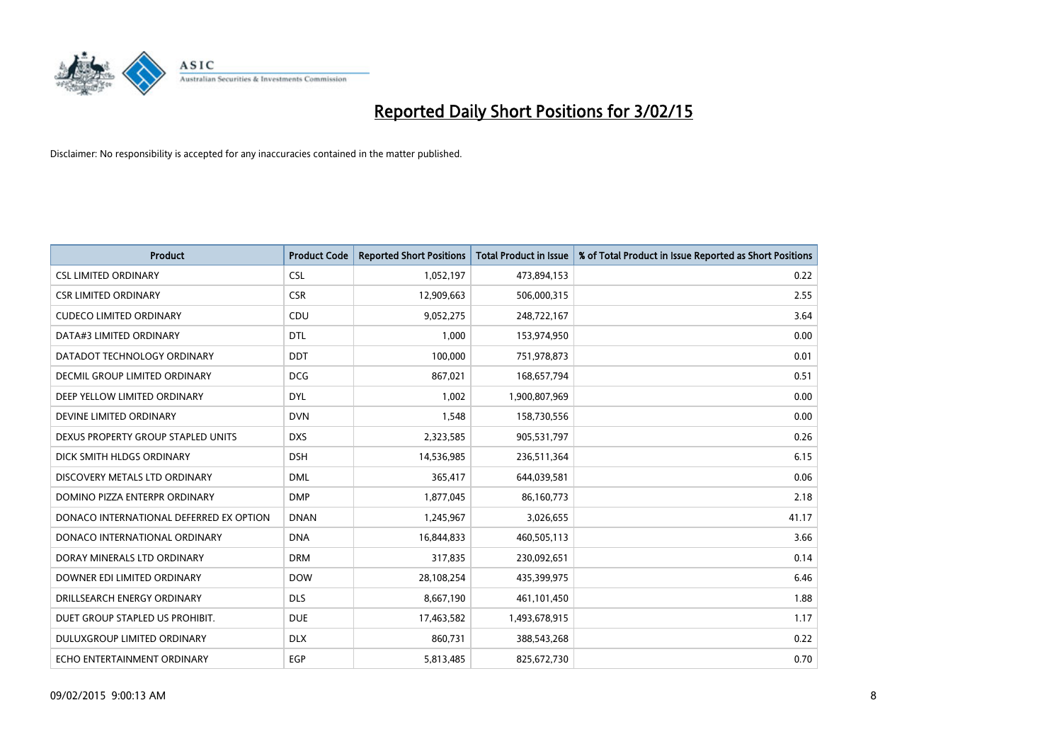

| <b>Product</b>                          | <b>Product Code</b> | <b>Reported Short Positions</b> | <b>Total Product in Issue</b> | % of Total Product in Issue Reported as Short Positions |
|-----------------------------------------|---------------------|---------------------------------|-------------------------------|---------------------------------------------------------|
| <b>CSL LIMITED ORDINARY</b>             | <b>CSL</b>          | 1,052,197                       | 473,894,153                   | 0.22                                                    |
| <b>CSR LIMITED ORDINARY</b>             | <b>CSR</b>          | 12,909,663                      | 506,000,315                   | 2.55                                                    |
| <b>CUDECO LIMITED ORDINARY</b>          | CDU                 | 9,052,275                       | 248,722,167                   | 3.64                                                    |
| DATA#3 LIMITED ORDINARY                 | <b>DTL</b>          | 1,000                           | 153,974,950                   | 0.00                                                    |
| DATADOT TECHNOLOGY ORDINARY             | <b>DDT</b>          | 100,000                         | 751,978,873                   | 0.01                                                    |
| <b>DECMIL GROUP LIMITED ORDINARY</b>    | <b>DCG</b>          | 867,021                         | 168,657,794                   | 0.51                                                    |
| DEEP YELLOW LIMITED ORDINARY            | <b>DYL</b>          | 1.002                           | 1,900,807,969                 | 0.00                                                    |
| DEVINE LIMITED ORDINARY                 | <b>DVN</b>          | 1,548                           | 158,730,556                   | 0.00                                                    |
| DEXUS PROPERTY GROUP STAPLED UNITS      | <b>DXS</b>          | 2,323,585                       | 905,531,797                   | 0.26                                                    |
| DICK SMITH HLDGS ORDINARY               | <b>DSH</b>          | 14,536,985                      | 236,511,364                   | 6.15                                                    |
| DISCOVERY METALS LTD ORDINARY           | <b>DML</b>          | 365,417                         | 644,039,581                   | 0.06                                                    |
| DOMINO PIZZA ENTERPR ORDINARY           | <b>DMP</b>          | 1,877,045                       | 86,160,773                    | 2.18                                                    |
| DONACO INTERNATIONAL DEFERRED EX OPTION | <b>DNAN</b>         | 1,245,967                       | 3,026,655                     | 41.17                                                   |
| DONACO INTERNATIONAL ORDINARY           | <b>DNA</b>          | 16,844,833                      | 460,505,113                   | 3.66                                                    |
| DORAY MINERALS LTD ORDINARY             | <b>DRM</b>          | 317,835                         | 230,092,651                   | 0.14                                                    |
| DOWNER EDI LIMITED ORDINARY             | <b>DOW</b>          | 28,108,254                      | 435,399,975                   | 6.46                                                    |
| DRILLSEARCH ENERGY ORDINARY             | <b>DLS</b>          | 8,667,190                       | 461,101,450                   | 1.88                                                    |
| DUET GROUP STAPLED US PROHIBIT.         | <b>DUE</b>          | 17,463,582                      | 1,493,678,915                 | 1.17                                                    |
| DULUXGROUP LIMITED ORDINARY             | <b>DLX</b>          | 860,731                         | 388,543,268                   | 0.22                                                    |
| ECHO ENTERTAINMENT ORDINARY             | EGP                 | 5,813,485                       | 825,672,730                   | 0.70                                                    |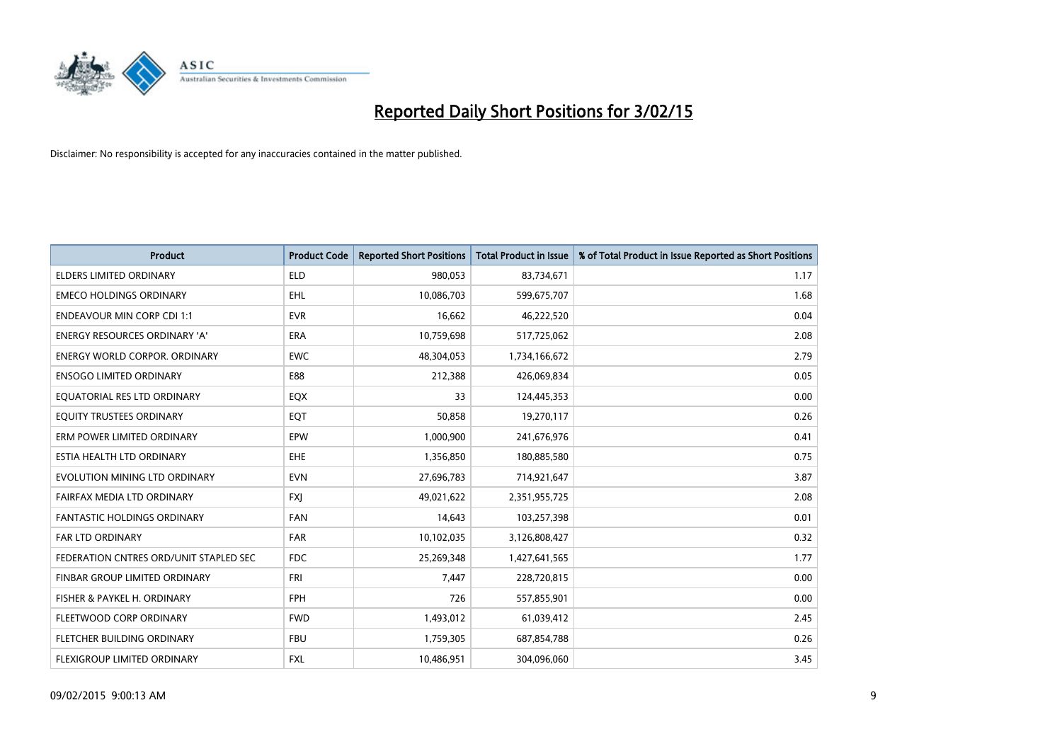

| <b>Product</b>                         | <b>Product Code</b> | <b>Reported Short Positions</b> | <b>Total Product in Issue</b> | % of Total Product in Issue Reported as Short Positions |
|----------------------------------------|---------------------|---------------------------------|-------------------------------|---------------------------------------------------------|
| <b>ELDERS LIMITED ORDINARY</b>         | <b>ELD</b>          | 980,053                         | 83,734,671                    | 1.17                                                    |
| <b>EMECO HOLDINGS ORDINARY</b>         | <b>EHL</b>          | 10,086,703                      | 599,675,707                   | 1.68                                                    |
| <b>ENDEAVOUR MIN CORP CDI 1:1</b>      | <b>EVR</b>          | 16,662                          | 46,222,520                    | 0.04                                                    |
| ENERGY RESOURCES ORDINARY 'A'          | <b>ERA</b>          | 10,759,698                      | 517,725,062                   | 2.08                                                    |
| <b>ENERGY WORLD CORPOR, ORDINARY</b>   | <b>EWC</b>          | 48,304,053                      | 1,734,166,672                 | 2.79                                                    |
| <b>ENSOGO LIMITED ORDINARY</b>         | E88                 | 212,388                         | 426,069,834                   | 0.05                                                    |
| EQUATORIAL RES LTD ORDINARY            | EQX                 | 33                              | 124,445,353                   | 0.00                                                    |
| EQUITY TRUSTEES ORDINARY               | EQT                 | 50,858                          | 19,270,117                    | 0.26                                                    |
| ERM POWER LIMITED ORDINARY             | EPW                 | 1,000,900                       | 241,676,976                   | 0.41                                                    |
| ESTIA HEALTH LTD ORDINARY              | <b>EHE</b>          | 1,356,850                       | 180,885,580                   | 0.75                                                    |
| EVOLUTION MINING LTD ORDINARY          | <b>EVN</b>          | 27,696,783                      | 714,921,647                   | 3.87                                                    |
| FAIRFAX MEDIA LTD ORDINARY             | <b>FXJ</b>          | 49,021,622                      | 2,351,955,725                 | 2.08                                                    |
| <b>FANTASTIC HOLDINGS ORDINARY</b>     | <b>FAN</b>          | 14,643                          | 103,257,398                   | 0.01                                                    |
| <b>FAR LTD ORDINARY</b>                | <b>FAR</b>          | 10,102,035                      | 3,126,808,427                 | 0.32                                                    |
| FEDERATION CNTRES ORD/UNIT STAPLED SEC | FDC                 | 25,269,348                      | 1,427,641,565                 | 1.77                                                    |
| FINBAR GROUP LIMITED ORDINARY          | <b>FRI</b>          | 7,447                           | 228,720,815                   | 0.00                                                    |
| FISHER & PAYKEL H. ORDINARY            | <b>FPH</b>          | 726                             | 557,855,901                   | 0.00                                                    |
| FLEETWOOD CORP ORDINARY                | <b>FWD</b>          | 1,493,012                       | 61,039,412                    | 2.45                                                    |
| FLETCHER BUILDING ORDINARY             | <b>FBU</b>          | 1,759,305                       | 687,854,788                   | 0.26                                                    |
| <b>FLEXIGROUP LIMITED ORDINARY</b>     | <b>FXL</b>          | 10,486,951                      | 304,096,060                   | 3.45                                                    |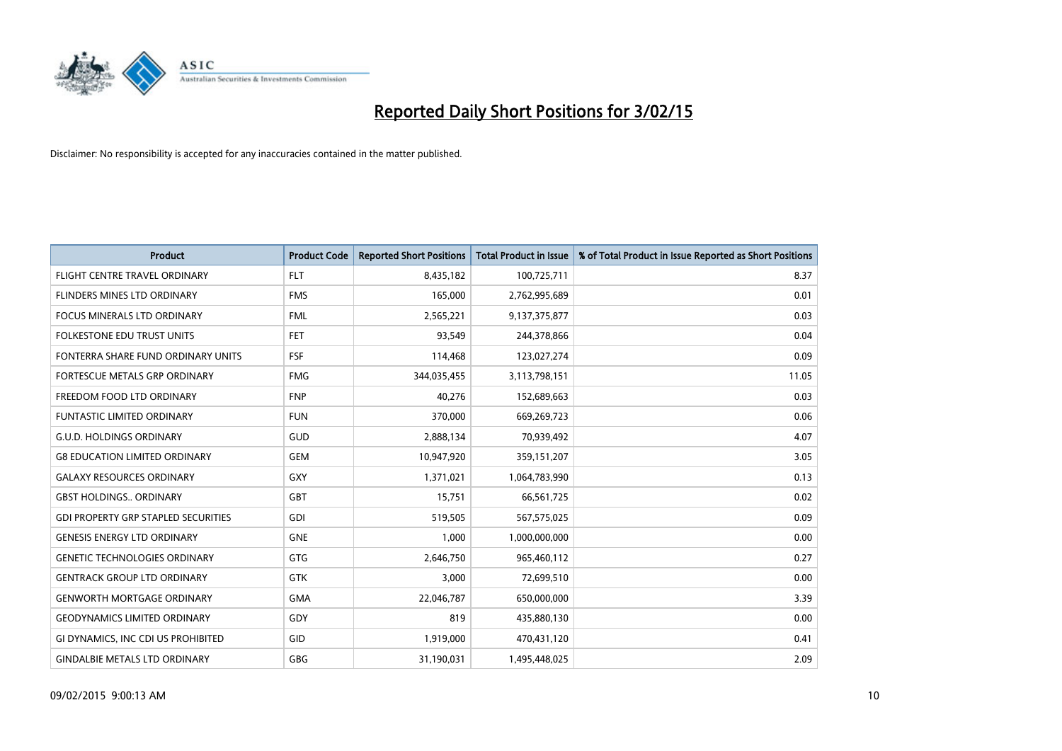

| <b>Product</b>                             | <b>Product Code</b> | <b>Reported Short Positions</b> | <b>Total Product in Issue</b> | % of Total Product in Issue Reported as Short Positions |
|--------------------------------------------|---------------------|---------------------------------|-------------------------------|---------------------------------------------------------|
| FLIGHT CENTRE TRAVEL ORDINARY              | <b>FLT</b>          | 8,435,182                       | 100,725,711                   | 8.37                                                    |
| <b>FLINDERS MINES LTD ORDINARY</b>         | <b>FMS</b>          | 165,000                         | 2,762,995,689                 | 0.01                                                    |
| FOCUS MINERALS LTD ORDINARY                | <b>FML</b>          | 2,565,221                       | 9,137,375,877                 | 0.03                                                    |
| FOLKESTONE EDU TRUST UNITS                 | <b>FET</b>          | 93,549                          | 244,378,866                   | 0.04                                                    |
| FONTERRA SHARE FUND ORDINARY UNITS         | <b>FSF</b>          | 114,468                         | 123,027,274                   | 0.09                                                    |
| FORTESCUE METALS GRP ORDINARY              | <b>FMG</b>          | 344,035,455                     | 3,113,798,151                 | 11.05                                                   |
| FREEDOM FOOD LTD ORDINARY                  | <b>FNP</b>          | 40,276                          | 152,689,663                   | 0.03                                                    |
| FUNTASTIC LIMITED ORDINARY                 | <b>FUN</b>          | 370,000                         | 669,269,723                   | 0.06                                                    |
| <b>G.U.D. HOLDINGS ORDINARY</b>            | GUD                 | 2,888,134                       | 70,939,492                    | 4.07                                                    |
| <b>G8 EDUCATION LIMITED ORDINARY</b>       | <b>GEM</b>          | 10,947,920                      | 359,151,207                   | 3.05                                                    |
| <b>GALAXY RESOURCES ORDINARY</b>           | GXY                 | 1,371,021                       | 1,064,783,990                 | 0.13                                                    |
| <b>GBST HOLDINGS ORDINARY</b>              | GBT                 | 15,751                          | 66,561,725                    | 0.02                                                    |
| <b>GDI PROPERTY GRP STAPLED SECURITIES</b> | GDI                 | 519,505                         | 567,575,025                   | 0.09                                                    |
| <b>GENESIS ENERGY LTD ORDINARY</b>         | <b>GNE</b>          | 1,000                           | 1,000,000,000                 | 0.00                                                    |
| <b>GENETIC TECHNOLOGIES ORDINARY</b>       | GTG                 | 2,646,750                       | 965,460,112                   | 0.27                                                    |
| <b>GENTRACK GROUP LTD ORDINARY</b>         | <b>GTK</b>          | 3,000                           | 72,699,510                    | 0.00                                                    |
| <b>GENWORTH MORTGAGE ORDINARY</b>          | <b>GMA</b>          | 22,046,787                      | 650,000,000                   | 3.39                                                    |
| <b>GEODYNAMICS LIMITED ORDINARY</b>        | GDY                 | 819                             | 435,880,130                   | 0.00                                                    |
| GI DYNAMICS, INC CDI US PROHIBITED         | GID                 | 1,919,000                       | 470,431,120                   | 0.41                                                    |
| <b>GINDALBIE METALS LTD ORDINARY</b>       | GBG                 | 31,190,031                      | 1,495,448,025                 | 2.09                                                    |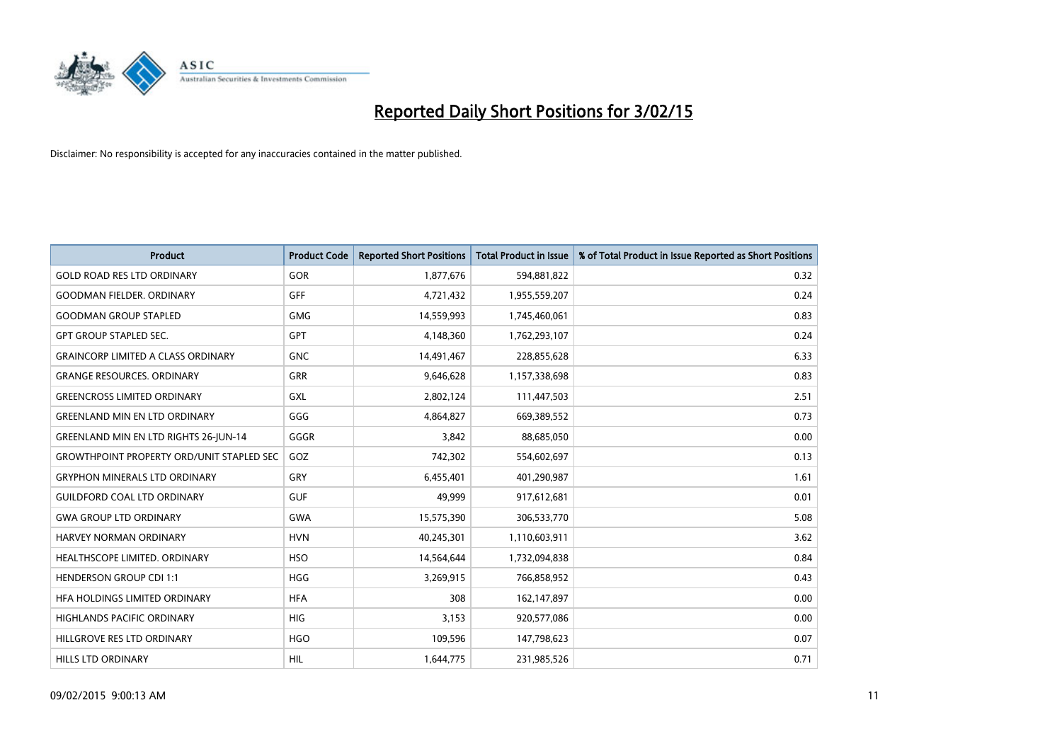

| <b>Product</b>                                   | <b>Product Code</b> | <b>Reported Short Positions</b> | <b>Total Product in Issue</b> | % of Total Product in Issue Reported as Short Positions |
|--------------------------------------------------|---------------------|---------------------------------|-------------------------------|---------------------------------------------------------|
| <b>GOLD ROAD RES LTD ORDINARY</b>                | <b>GOR</b>          | 1,877,676                       | 594,881,822                   | 0.32                                                    |
| <b>GOODMAN FIELDER, ORDINARY</b>                 | GFF                 | 4,721,432                       | 1,955,559,207                 | 0.24                                                    |
| <b>GOODMAN GROUP STAPLED</b>                     | <b>GMG</b>          | 14,559,993                      | 1,745,460,061                 | 0.83                                                    |
| <b>GPT GROUP STAPLED SEC.</b>                    | <b>GPT</b>          | 4,148,360                       | 1,762,293,107                 | 0.24                                                    |
| <b>GRAINCORP LIMITED A CLASS ORDINARY</b>        | <b>GNC</b>          | 14,491,467                      | 228,855,628                   | 6.33                                                    |
| <b>GRANGE RESOURCES, ORDINARY</b>                | <b>GRR</b>          | 9,646,628                       | 1,157,338,698                 | 0.83                                                    |
| <b>GREENCROSS LIMITED ORDINARY</b>               | GXL                 | 2,802,124                       | 111,447,503                   | 2.51                                                    |
| <b>GREENLAND MIN EN LTD ORDINARY</b>             | GGG                 | 4,864,827                       | 669,389,552                   | 0.73                                                    |
| <b>GREENLAND MIN EN LTD RIGHTS 26-JUN-14</b>     | GGGR                | 3,842                           | 88,685,050                    | 0.00                                                    |
| <b>GROWTHPOINT PROPERTY ORD/UNIT STAPLED SEC</b> | GOZ                 | 742,302                         | 554,602,697                   | 0.13                                                    |
| <b>GRYPHON MINERALS LTD ORDINARY</b>             | GRY                 | 6,455,401                       | 401,290,987                   | 1.61                                                    |
| <b>GUILDFORD COAL LTD ORDINARY</b>               | <b>GUF</b>          | 49,999                          | 917,612,681                   | 0.01                                                    |
| <b>GWA GROUP LTD ORDINARY</b>                    | GWA                 | 15,575,390                      | 306,533,770                   | 5.08                                                    |
| HARVEY NORMAN ORDINARY                           | <b>HVN</b>          | 40,245,301                      | 1,110,603,911                 | 3.62                                                    |
| HEALTHSCOPE LIMITED. ORDINARY                    | <b>HSO</b>          | 14,564,644                      | 1,732,094,838                 | 0.84                                                    |
| <b>HENDERSON GROUP CDI 1:1</b>                   | <b>HGG</b>          | 3,269,915                       | 766,858,952                   | 0.43                                                    |
| HFA HOLDINGS LIMITED ORDINARY                    | <b>HFA</b>          | 308                             | 162,147,897                   | 0.00                                                    |
| HIGHLANDS PACIFIC ORDINARY                       | <b>HIG</b>          | 3,153                           | 920,577,086                   | 0.00                                                    |
| HILLGROVE RES LTD ORDINARY                       | <b>HGO</b>          | 109,596                         | 147,798,623                   | 0.07                                                    |
| <b>HILLS LTD ORDINARY</b>                        | <b>HIL</b>          | 1,644,775                       | 231,985,526                   | 0.71                                                    |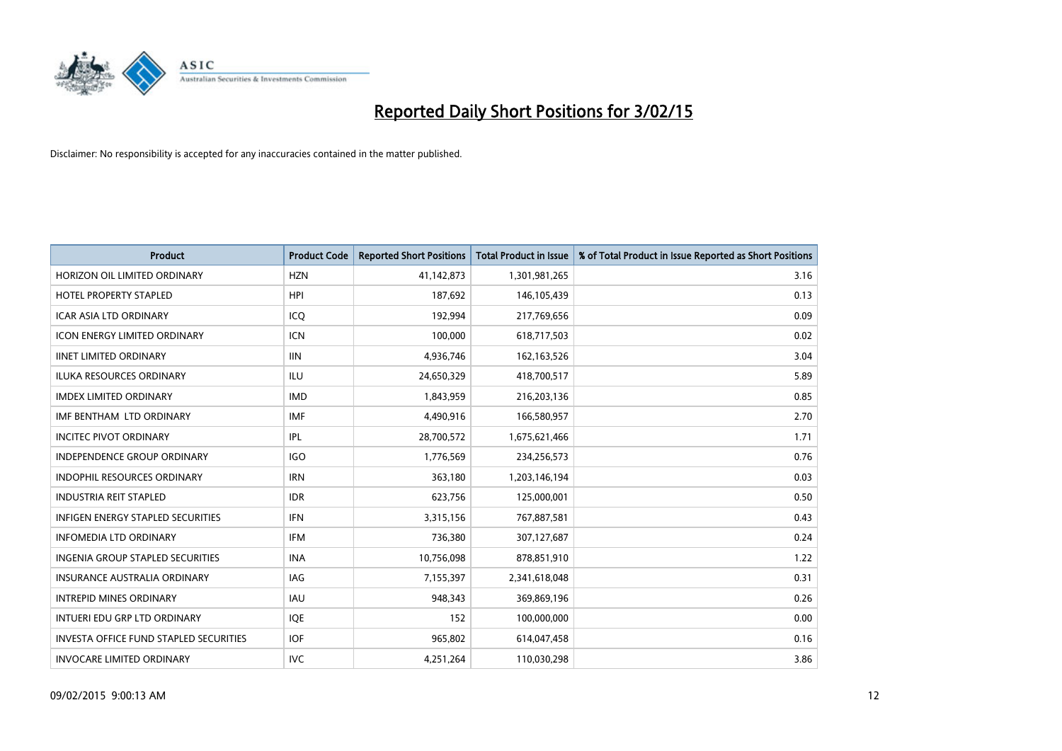

| Product                                       | <b>Product Code</b> | <b>Reported Short Positions</b> | <b>Total Product in Issue</b> | % of Total Product in Issue Reported as Short Positions |
|-----------------------------------------------|---------------------|---------------------------------|-------------------------------|---------------------------------------------------------|
| HORIZON OIL LIMITED ORDINARY                  | <b>HZN</b>          | 41,142,873                      | 1,301,981,265                 | 3.16                                                    |
| HOTEL PROPERTY STAPLED                        | <b>HPI</b>          | 187,692                         | 146, 105, 439                 | 0.13                                                    |
| <b>ICAR ASIA LTD ORDINARY</b>                 | ICQ                 | 192,994                         | 217,769,656                   | 0.09                                                    |
| <b>ICON ENERGY LIMITED ORDINARY</b>           | <b>ICN</b>          | 100,000                         | 618,717,503                   | 0.02                                                    |
| <b>IINET LIMITED ORDINARY</b>                 | <b>IIN</b>          | 4,936,746                       | 162, 163, 526                 | 3.04                                                    |
| <b>ILUKA RESOURCES ORDINARY</b>               | <b>ILU</b>          | 24,650,329                      | 418,700,517                   | 5.89                                                    |
| <b>IMDEX LIMITED ORDINARY</b>                 | <b>IMD</b>          | 1,843,959                       | 216,203,136                   | 0.85                                                    |
| IMF BENTHAM LTD ORDINARY                      | <b>IMF</b>          | 4,490,916                       | 166,580,957                   | 2.70                                                    |
| <b>INCITEC PIVOT ORDINARY</b>                 | IPL                 | 28,700,572                      | 1,675,621,466                 | 1.71                                                    |
| <b>INDEPENDENCE GROUP ORDINARY</b>            | <b>IGO</b>          | 1,776,569                       | 234,256,573                   | 0.76                                                    |
| INDOPHIL RESOURCES ORDINARY                   | <b>IRN</b>          | 363,180                         | 1,203,146,194                 | 0.03                                                    |
| <b>INDUSTRIA REIT STAPLED</b>                 | <b>IDR</b>          | 623,756                         | 125,000,001                   | 0.50                                                    |
| INFIGEN ENERGY STAPLED SECURITIES             | <b>IFN</b>          | 3,315,156                       | 767,887,581                   | 0.43                                                    |
| <b>INFOMEDIA LTD ORDINARY</b>                 | IFM                 | 736,380                         | 307,127,687                   | 0.24                                                    |
| <b>INGENIA GROUP STAPLED SECURITIES</b>       | <b>INA</b>          | 10,756,098                      | 878,851,910                   | 1.22                                                    |
| INSURANCE AUSTRALIA ORDINARY                  | IAG                 | 7,155,397                       | 2,341,618,048                 | 0.31                                                    |
| <b>INTREPID MINES ORDINARY</b>                | IAU                 | 948,343                         | 369,869,196                   | 0.26                                                    |
| INTUERI EDU GRP LTD ORDINARY                  | IQE                 | 152                             | 100,000,000                   | 0.00                                                    |
| <b>INVESTA OFFICE FUND STAPLED SECURITIES</b> | <b>IOF</b>          | 965,802                         | 614,047,458                   | 0.16                                                    |
| <b>INVOCARE LIMITED ORDINARY</b>              | <b>IVC</b>          | 4,251,264                       | 110,030,298                   | 3.86                                                    |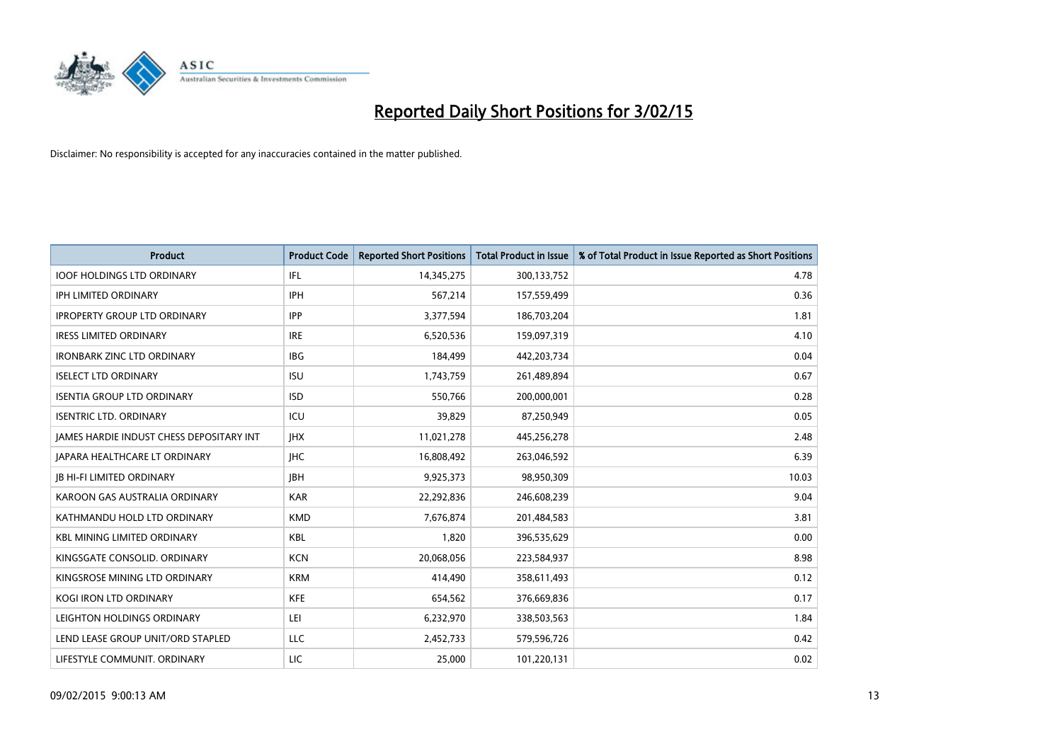

| <b>Product</b>                           | <b>Product Code</b> | <b>Reported Short Positions</b> | <b>Total Product in Issue</b> | % of Total Product in Issue Reported as Short Positions |
|------------------------------------------|---------------------|---------------------------------|-------------------------------|---------------------------------------------------------|
| <b>IOOF HOLDINGS LTD ORDINARY</b>        | IFL                 | 14,345,275                      | 300,133,752                   | 4.78                                                    |
| IPH LIMITED ORDINARY                     | <b>IPH</b>          | 567,214                         | 157,559,499                   | 0.36                                                    |
| <b>IPROPERTY GROUP LTD ORDINARY</b>      | <b>IPP</b>          | 3,377,594                       | 186,703,204                   | 1.81                                                    |
| <b>IRESS LIMITED ORDINARY</b>            | <b>IRE</b>          | 6,520,536                       | 159,097,319                   | 4.10                                                    |
| <b>IRONBARK ZINC LTD ORDINARY</b>        | <b>IBG</b>          | 184,499                         | 442,203,734                   | 0.04                                                    |
| <b>ISELECT LTD ORDINARY</b>              | <b>ISU</b>          | 1,743,759                       | 261,489,894                   | 0.67                                                    |
| <b>ISENTIA GROUP LTD ORDINARY</b>        | <b>ISD</b>          | 550,766                         | 200,000,001                   | 0.28                                                    |
| <b>ISENTRIC LTD. ORDINARY</b>            | ICU                 | 39,829                          | 87,250,949                    | 0.05                                                    |
| JAMES HARDIE INDUST CHESS DEPOSITARY INT | <b>IHX</b>          | 11,021,278                      | 445,256,278                   | 2.48                                                    |
| <b>JAPARA HEALTHCARE LT ORDINARY</b>     | <b>IHC</b>          | 16,808,492                      | 263,046,592                   | 6.39                                                    |
| <b>JB HI-FI LIMITED ORDINARY</b>         | <b>IBH</b>          | 9,925,373                       | 98,950,309                    | 10.03                                                   |
| KAROON GAS AUSTRALIA ORDINARY            | <b>KAR</b>          | 22,292,836                      | 246,608,239                   | 9.04                                                    |
| KATHMANDU HOLD LTD ORDINARY              | <b>KMD</b>          | 7,676,874                       | 201,484,583                   | 3.81                                                    |
| <b>KBL MINING LIMITED ORDINARY</b>       | KBL                 | 1,820                           | 396,535,629                   | 0.00                                                    |
| KINGSGATE CONSOLID. ORDINARY             | <b>KCN</b>          | 20,068,056                      | 223,584,937                   | 8.98                                                    |
| KINGSROSE MINING LTD ORDINARY            | <b>KRM</b>          | 414,490                         | 358,611,493                   | 0.12                                                    |
| KOGI IRON LTD ORDINARY                   | KFE                 | 654,562                         | 376,669,836                   | 0.17                                                    |
| LEIGHTON HOLDINGS ORDINARY               | LEI                 | 6,232,970                       | 338,503,563                   | 1.84                                                    |
| LEND LEASE GROUP UNIT/ORD STAPLED        | LLC                 | 2,452,733                       | 579,596,726                   | 0.42                                                    |
| LIFESTYLE COMMUNIT. ORDINARY             | LIC                 | 25,000                          | 101,220,131                   | 0.02                                                    |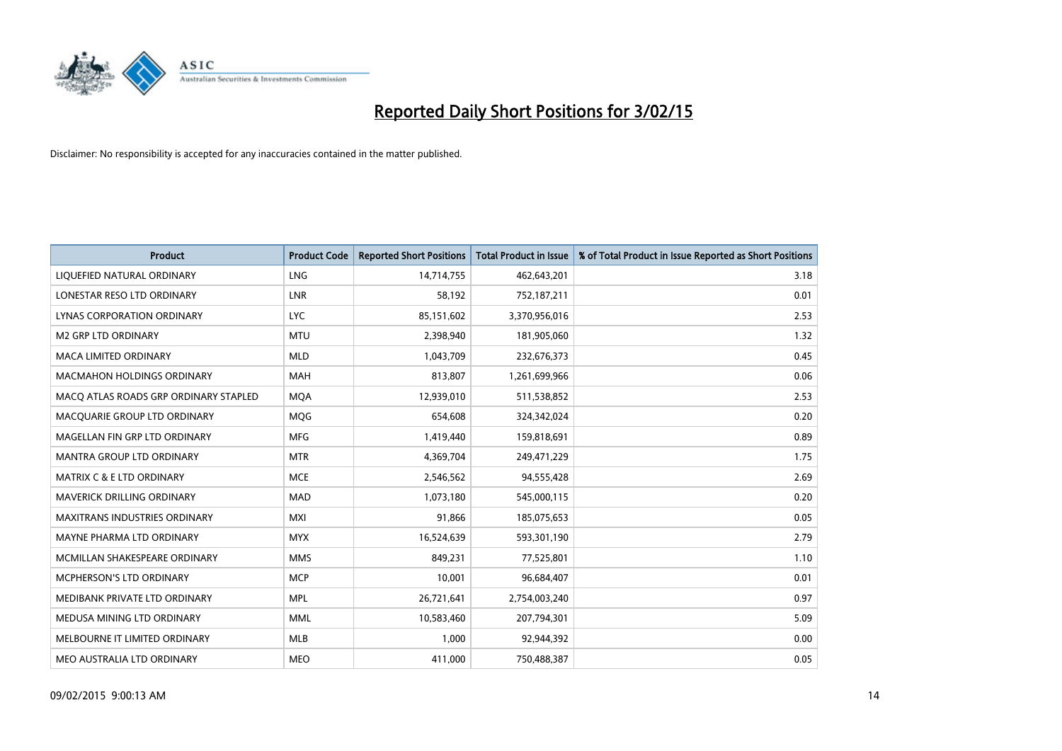

| <b>Product</b>                        | <b>Product Code</b> | <b>Reported Short Positions</b> | <b>Total Product in Issue</b> | % of Total Product in Issue Reported as Short Positions |
|---------------------------------------|---------------------|---------------------------------|-------------------------------|---------------------------------------------------------|
| LIQUEFIED NATURAL ORDINARY            | <b>LNG</b>          | 14,714,755                      | 462,643,201                   | 3.18                                                    |
| LONESTAR RESO LTD ORDINARY            | LNR                 | 58,192                          | 752,187,211                   | 0.01                                                    |
| <b>LYNAS CORPORATION ORDINARY</b>     | <b>LYC</b>          | 85,151,602                      | 3,370,956,016                 | 2.53                                                    |
| <b>M2 GRP LTD ORDINARY</b>            | <b>MTU</b>          | 2,398,940                       | 181,905,060                   | 1.32                                                    |
| <b>MACA LIMITED ORDINARY</b>          | <b>MLD</b>          | 1,043,709                       | 232,676,373                   | 0.45                                                    |
| <b>MACMAHON HOLDINGS ORDINARY</b>     | <b>MAH</b>          | 813,807                         | 1,261,699,966                 | 0.06                                                    |
| MACO ATLAS ROADS GRP ORDINARY STAPLED | <b>MOA</b>          | 12,939,010                      | 511,538,852                   | 2.53                                                    |
| MACQUARIE GROUP LTD ORDINARY          | MQG                 | 654,608                         | 324,342,024                   | 0.20                                                    |
| MAGELLAN FIN GRP LTD ORDINARY         | <b>MFG</b>          | 1,419,440                       | 159,818,691                   | 0.89                                                    |
| <b>MANTRA GROUP LTD ORDINARY</b>      | <b>MTR</b>          | 4,369,704                       | 249,471,229                   | 1.75                                                    |
| <b>MATRIX C &amp; E LTD ORDINARY</b>  | <b>MCE</b>          | 2,546,562                       | 94,555,428                    | 2.69                                                    |
| <b>MAVERICK DRILLING ORDINARY</b>     | <b>MAD</b>          | 1,073,180                       | 545,000,115                   | 0.20                                                    |
| <b>MAXITRANS INDUSTRIES ORDINARY</b>  | <b>MXI</b>          | 91,866                          | 185,075,653                   | 0.05                                                    |
| MAYNE PHARMA LTD ORDINARY             | <b>MYX</b>          | 16,524,639                      | 593,301,190                   | 2.79                                                    |
| MCMILLAN SHAKESPEARE ORDINARY         | <b>MMS</b>          | 849,231                         | 77,525,801                    | 1.10                                                    |
| MCPHERSON'S LTD ORDINARY              | <b>MCP</b>          | 10,001                          | 96,684,407                    | 0.01                                                    |
| MEDIBANK PRIVATE LTD ORDINARY         | <b>MPL</b>          | 26,721,641                      | 2,754,003,240                 | 0.97                                                    |
| MEDUSA MINING LTD ORDINARY            | <b>MML</b>          | 10,583,460                      | 207,794,301                   | 5.09                                                    |
| MELBOURNE IT LIMITED ORDINARY         | <b>MLB</b>          | 1,000                           | 92,944,392                    | 0.00                                                    |
| MEO AUSTRALIA LTD ORDINARY            | <b>MEO</b>          | 411,000                         | 750,488,387                   | 0.05                                                    |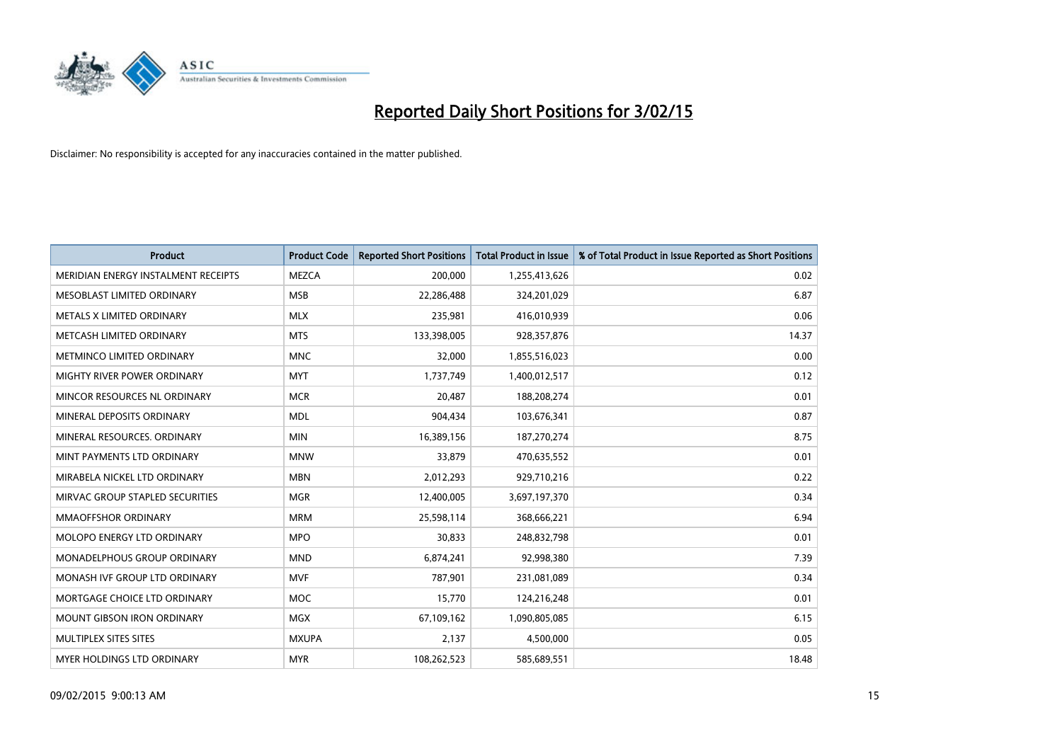

| <b>Product</b>                      | <b>Product Code</b> | <b>Reported Short Positions</b> | <b>Total Product in Issue</b> | % of Total Product in Issue Reported as Short Positions |
|-------------------------------------|---------------------|---------------------------------|-------------------------------|---------------------------------------------------------|
| MERIDIAN ENERGY INSTALMENT RECEIPTS | <b>MEZCA</b>        | 200,000                         | 1,255,413,626                 | 0.02                                                    |
| MESOBLAST LIMITED ORDINARY          | <b>MSB</b>          | 22,286,488                      | 324,201,029                   | 6.87                                                    |
| METALS X LIMITED ORDINARY           | <b>MLX</b>          | 235,981                         | 416,010,939                   | 0.06                                                    |
| METCASH LIMITED ORDINARY            | <b>MTS</b>          | 133,398,005                     | 928,357,876                   | 14.37                                                   |
| METMINCO LIMITED ORDINARY           | <b>MNC</b>          | 32,000                          | 1,855,516,023                 | 0.00                                                    |
| MIGHTY RIVER POWER ORDINARY         | <b>MYT</b>          | 1,737,749                       | 1,400,012,517                 | 0.12                                                    |
| MINCOR RESOURCES NL ORDINARY        | <b>MCR</b>          | 20,487                          | 188,208,274                   | 0.01                                                    |
| MINERAL DEPOSITS ORDINARY           | <b>MDL</b>          | 904,434                         | 103,676,341                   | 0.87                                                    |
| MINERAL RESOURCES. ORDINARY         | <b>MIN</b>          | 16,389,156                      | 187,270,274                   | 8.75                                                    |
| MINT PAYMENTS LTD ORDINARY          | <b>MNW</b>          | 33,879                          | 470,635,552                   | 0.01                                                    |
| MIRABELA NICKEL LTD ORDINARY        | <b>MBN</b>          | 2,012,293                       | 929,710,216                   | 0.22                                                    |
| MIRVAC GROUP STAPLED SECURITIES     | <b>MGR</b>          | 12,400,005                      | 3,697,197,370                 | 0.34                                                    |
| <b>MMAOFFSHOR ORDINARY</b>          | <b>MRM</b>          | 25,598,114                      | 368,666,221                   | 6.94                                                    |
| MOLOPO ENERGY LTD ORDINARY          | <b>MPO</b>          | 30,833                          | 248,832,798                   | 0.01                                                    |
| MONADELPHOUS GROUP ORDINARY         | <b>MND</b>          | 6,874,241                       | 92,998,380                    | 7.39                                                    |
| MONASH IVF GROUP LTD ORDINARY       | <b>MVF</b>          | 787,901                         | 231,081,089                   | 0.34                                                    |
| MORTGAGE CHOICE LTD ORDINARY        | MOC                 | 15,770                          | 124,216,248                   | 0.01                                                    |
| MOUNT GIBSON IRON ORDINARY          | <b>MGX</b>          | 67,109,162                      | 1,090,805,085                 | 6.15                                                    |
| MULTIPLEX SITES SITES               | <b>MXUPA</b>        | 2,137                           | 4,500,000                     | 0.05                                                    |
| <b>MYER HOLDINGS LTD ORDINARY</b>   | <b>MYR</b>          | 108,262,523                     | 585,689,551                   | 18.48                                                   |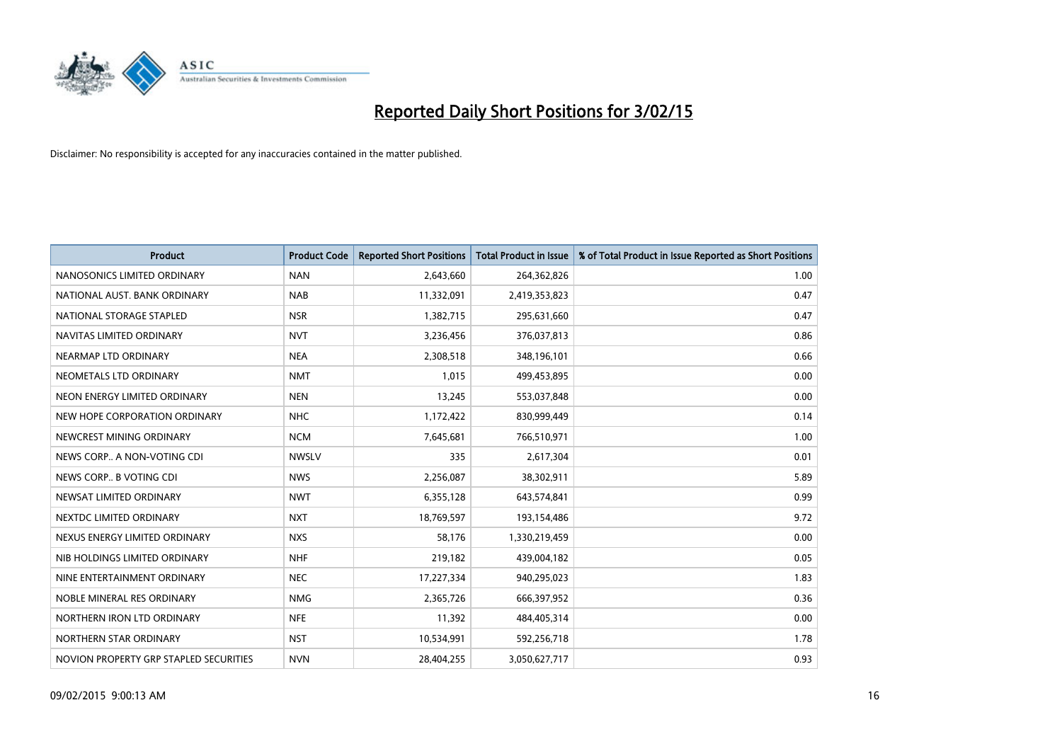

| <b>Product</b>                         | <b>Product Code</b> | <b>Reported Short Positions</b> | <b>Total Product in Issue</b> | % of Total Product in Issue Reported as Short Positions |
|----------------------------------------|---------------------|---------------------------------|-------------------------------|---------------------------------------------------------|
| NANOSONICS LIMITED ORDINARY            | <b>NAN</b>          | 2,643,660                       | 264,362,826                   | 1.00                                                    |
| NATIONAL AUST. BANK ORDINARY           | <b>NAB</b>          | 11,332,091                      | 2,419,353,823                 | 0.47                                                    |
| NATIONAL STORAGE STAPLED               | <b>NSR</b>          | 1,382,715                       | 295,631,660                   | 0.47                                                    |
| NAVITAS LIMITED ORDINARY               | <b>NVT</b>          | 3,236,456                       | 376,037,813                   | 0.86                                                    |
| NEARMAP LTD ORDINARY                   | <b>NEA</b>          | 2,308,518                       | 348,196,101                   | 0.66                                                    |
| NEOMETALS LTD ORDINARY                 | <b>NMT</b>          | 1,015                           | 499,453,895                   | 0.00                                                    |
| NEON ENERGY LIMITED ORDINARY           | <b>NEN</b>          | 13,245                          | 553,037,848                   | 0.00                                                    |
| NEW HOPE CORPORATION ORDINARY          | <b>NHC</b>          | 1,172,422                       | 830,999,449                   | 0.14                                                    |
| NEWCREST MINING ORDINARY               | <b>NCM</b>          | 7,645,681                       | 766,510,971                   | 1.00                                                    |
| NEWS CORP A NON-VOTING CDI             | <b>NWSLV</b>        | 335                             | 2,617,304                     | 0.01                                                    |
| NEWS CORP B VOTING CDI                 | <b>NWS</b>          | 2,256,087                       | 38,302,911                    | 5.89                                                    |
| NEWSAT LIMITED ORDINARY                | <b>NWT</b>          | 6,355,128                       | 643,574,841                   | 0.99                                                    |
| NEXTDC LIMITED ORDINARY                | <b>NXT</b>          | 18,769,597                      | 193,154,486                   | 9.72                                                    |
| NEXUS ENERGY LIMITED ORDINARY          | <b>NXS</b>          | 58,176                          | 1,330,219,459                 | 0.00                                                    |
| NIB HOLDINGS LIMITED ORDINARY          | <b>NHF</b>          | 219,182                         | 439,004,182                   | 0.05                                                    |
| NINE ENTERTAINMENT ORDINARY            | <b>NEC</b>          | 17,227,334                      | 940,295,023                   | 1.83                                                    |
| NOBLE MINERAL RES ORDINARY             | <b>NMG</b>          | 2,365,726                       | 666,397,952                   | 0.36                                                    |
| NORTHERN IRON LTD ORDINARY             | <b>NFE</b>          | 11,392                          | 484,405,314                   | 0.00                                                    |
| NORTHERN STAR ORDINARY                 | <b>NST</b>          | 10,534,991                      | 592,256,718                   | 1.78                                                    |
| NOVION PROPERTY GRP STAPLED SECURITIES | <b>NVN</b>          | 28,404,255                      | 3,050,627,717                 | 0.93                                                    |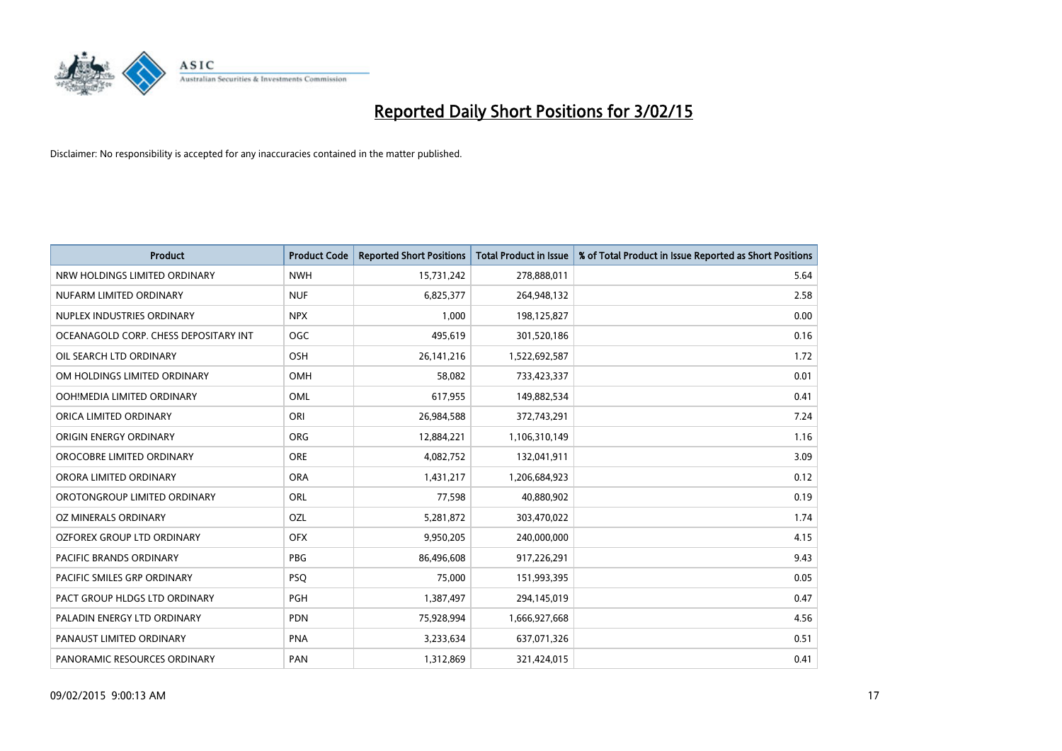

| <b>Product</b>                        | <b>Product Code</b> | <b>Reported Short Positions</b> | <b>Total Product in Issue</b> | % of Total Product in Issue Reported as Short Positions |
|---------------------------------------|---------------------|---------------------------------|-------------------------------|---------------------------------------------------------|
| NRW HOLDINGS LIMITED ORDINARY         | <b>NWH</b>          | 15,731,242                      | 278,888,011                   | 5.64                                                    |
| NUFARM LIMITED ORDINARY               | <b>NUF</b>          | 6,825,377                       | 264,948,132                   | 2.58                                                    |
| NUPLEX INDUSTRIES ORDINARY            | <b>NPX</b>          | 1,000                           | 198,125,827                   | 0.00                                                    |
| OCEANAGOLD CORP. CHESS DEPOSITARY INT | <b>OGC</b>          | 495,619                         | 301,520,186                   | 0.16                                                    |
| OIL SEARCH LTD ORDINARY               | OSH                 | 26, 141, 216                    | 1,522,692,587                 | 1.72                                                    |
| OM HOLDINGS LIMITED ORDINARY          | <b>OMH</b>          | 58,082                          | 733,423,337                   | 0.01                                                    |
| OOH!MEDIA LIMITED ORDINARY            | OML                 | 617,955                         | 149,882,534                   | 0.41                                                    |
| ORICA LIMITED ORDINARY                | ORI                 | 26,984,588                      | 372,743,291                   | 7.24                                                    |
| ORIGIN ENERGY ORDINARY                | <b>ORG</b>          | 12,884,221                      | 1,106,310,149                 | 1.16                                                    |
| OROCOBRE LIMITED ORDINARY             | ORE                 | 4,082,752                       | 132,041,911                   | 3.09                                                    |
| ORORA LIMITED ORDINARY                | <b>ORA</b>          | 1,431,217                       | 1,206,684,923                 | 0.12                                                    |
| OROTONGROUP LIMITED ORDINARY          | ORL                 | 77,598                          | 40,880,902                    | 0.19                                                    |
| OZ MINERALS ORDINARY                  | OZL                 | 5,281,872                       | 303,470,022                   | 1.74                                                    |
| OZFOREX GROUP LTD ORDINARY            | <b>OFX</b>          | 9,950,205                       | 240,000,000                   | 4.15                                                    |
| <b>PACIFIC BRANDS ORDINARY</b>        | <b>PBG</b>          | 86,496,608                      | 917,226,291                   | 9.43                                                    |
| PACIFIC SMILES GRP ORDINARY           | <b>PSQ</b>          | 75,000                          | 151,993,395                   | 0.05                                                    |
| PACT GROUP HLDGS LTD ORDINARY         | <b>PGH</b>          | 1,387,497                       | 294,145,019                   | 0.47                                                    |
| PALADIN ENERGY LTD ORDINARY           | <b>PDN</b>          | 75,928,994                      | 1,666,927,668                 | 4.56                                                    |
| PANAUST LIMITED ORDINARY              | <b>PNA</b>          | 3,233,634                       | 637,071,326                   | 0.51                                                    |
| PANORAMIC RESOURCES ORDINARY          | PAN                 | 1,312,869                       | 321,424,015                   | 0.41                                                    |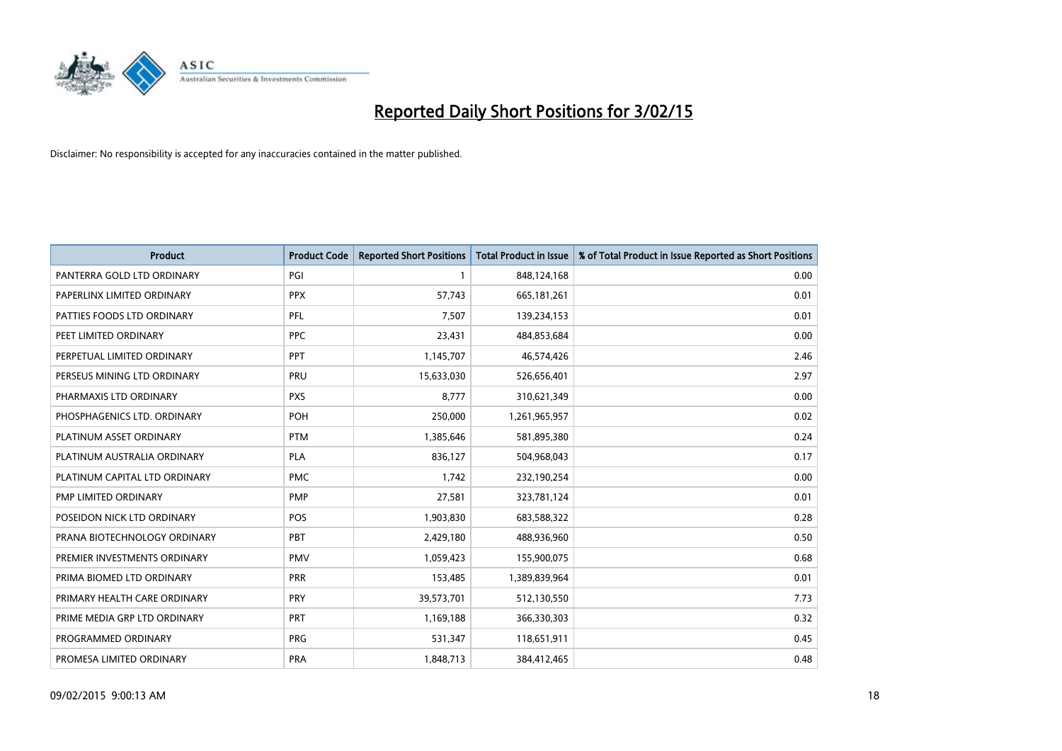

| <b>Product</b>                | <b>Product Code</b> | <b>Reported Short Positions</b> | <b>Total Product in Issue</b> | % of Total Product in Issue Reported as Short Positions |
|-------------------------------|---------------------|---------------------------------|-------------------------------|---------------------------------------------------------|
| PANTERRA GOLD LTD ORDINARY    | PGI                 | 1                               | 848,124,168                   | 0.00                                                    |
| PAPERLINX LIMITED ORDINARY    | <b>PPX</b>          | 57,743                          | 665, 181, 261                 | 0.01                                                    |
| PATTIES FOODS LTD ORDINARY    | PFL                 | 7,507                           | 139,234,153                   | 0.01                                                    |
| PEET LIMITED ORDINARY         | <b>PPC</b>          | 23,431                          | 484,853,684                   | 0.00                                                    |
| PERPETUAL LIMITED ORDINARY    | <b>PPT</b>          | 1,145,707                       | 46,574,426                    | 2.46                                                    |
| PERSEUS MINING LTD ORDINARY   | PRU                 | 15,633,030                      | 526,656,401                   | 2.97                                                    |
| PHARMAXIS LTD ORDINARY        | <b>PXS</b>          | 8,777                           | 310,621,349                   | 0.00                                                    |
| PHOSPHAGENICS LTD. ORDINARY   | <b>POH</b>          | 250,000                         | 1,261,965,957                 | 0.02                                                    |
| PLATINUM ASSET ORDINARY       | <b>PTM</b>          | 1,385,646                       | 581,895,380                   | 0.24                                                    |
| PLATINUM AUSTRALIA ORDINARY   | <b>PLA</b>          | 836,127                         | 504,968,043                   | 0.17                                                    |
| PLATINUM CAPITAL LTD ORDINARY | <b>PMC</b>          | 1,742                           | 232,190,254                   | 0.00                                                    |
| PMP LIMITED ORDINARY          | <b>PMP</b>          | 27,581                          | 323,781,124                   | 0.01                                                    |
| POSEIDON NICK LTD ORDINARY    | <b>POS</b>          | 1,903,830                       | 683,588,322                   | 0.28                                                    |
| PRANA BIOTECHNOLOGY ORDINARY  | <b>PBT</b>          | 2,429,180                       | 488,936,960                   | 0.50                                                    |
| PREMIER INVESTMENTS ORDINARY  | <b>PMV</b>          | 1,059,423                       | 155,900,075                   | 0.68                                                    |
| PRIMA BIOMED LTD ORDINARY     | <b>PRR</b>          | 153,485                         | 1,389,839,964                 | 0.01                                                    |
| PRIMARY HEALTH CARE ORDINARY  | <b>PRY</b>          | 39,573,701                      | 512,130,550                   | 7.73                                                    |
| PRIME MEDIA GRP LTD ORDINARY  | <b>PRT</b>          | 1,169,188                       | 366,330,303                   | 0.32                                                    |
| PROGRAMMED ORDINARY           | <b>PRG</b>          | 531,347                         | 118,651,911                   | 0.45                                                    |
| PROMESA LIMITED ORDINARY      | <b>PRA</b>          | 1,848,713                       | 384,412,465                   | 0.48                                                    |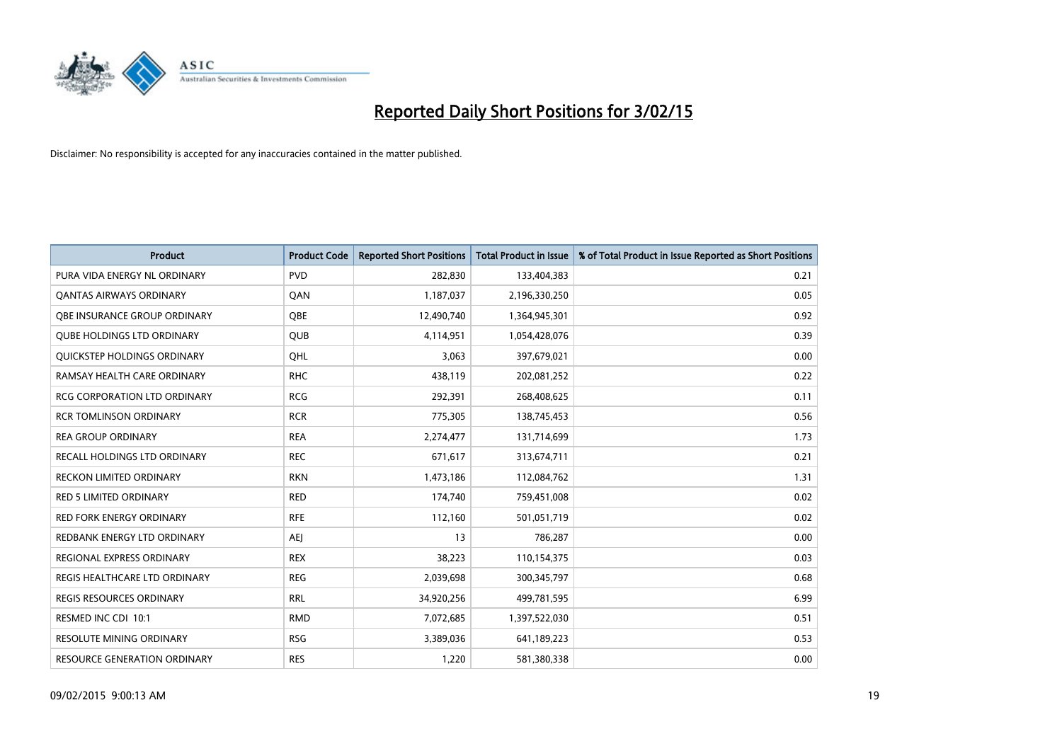

| <b>Product</b>                      | <b>Product Code</b> | <b>Reported Short Positions</b> | <b>Total Product in Issue</b> | % of Total Product in Issue Reported as Short Positions |
|-------------------------------------|---------------------|---------------------------------|-------------------------------|---------------------------------------------------------|
| PURA VIDA ENERGY NL ORDINARY        | <b>PVD</b>          | 282,830                         | 133,404,383                   | 0.21                                                    |
| <b>QANTAS AIRWAYS ORDINARY</b>      | QAN                 | 1,187,037                       | 2,196,330,250                 | 0.05                                                    |
| <b>OBE INSURANCE GROUP ORDINARY</b> | <b>OBE</b>          | 12,490,740                      | 1,364,945,301                 | 0.92                                                    |
| <b>QUBE HOLDINGS LTD ORDINARY</b>   | QUB                 | 4,114,951                       | 1,054,428,076                 | 0.39                                                    |
| QUICKSTEP HOLDINGS ORDINARY         | OHL                 | 3,063                           | 397,679,021                   | 0.00                                                    |
| RAMSAY HEALTH CARE ORDINARY         | <b>RHC</b>          | 438,119                         | 202,081,252                   | 0.22                                                    |
| <b>RCG CORPORATION LTD ORDINARY</b> | <b>RCG</b>          | 292,391                         | 268,408,625                   | 0.11                                                    |
| <b>RCR TOMLINSON ORDINARY</b>       | <b>RCR</b>          | 775,305                         | 138,745,453                   | 0.56                                                    |
| <b>REA GROUP ORDINARY</b>           | <b>REA</b>          | 2,274,477                       | 131,714,699                   | 1.73                                                    |
| RECALL HOLDINGS LTD ORDINARY        | <b>REC</b>          | 671,617                         | 313,674,711                   | 0.21                                                    |
| RECKON LIMITED ORDINARY             | <b>RKN</b>          | 1,473,186                       | 112,084,762                   | 1.31                                                    |
| <b>RED 5 LIMITED ORDINARY</b>       | <b>RED</b>          | 174,740                         | 759,451,008                   | 0.02                                                    |
| RED FORK ENERGY ORDINARY            | <b>RFE</b>          | 112,160                         | 501,051,719                   | 0.02                                                    |
| REDBANK ENERGY LTD ORDINARY         | <b>AEJ</b>          | 13                              | 786,287                       | 0.00                                                    |
| REGIONAL EXPRESS ORDINARY           | <b>REX</b>          | 38,223                          | 110,154,375                   | 0.03                                                    |
| REGIS HEALTHCARE LTD ORDINARY       | <b>REG</b>          | 2,039,698                       | 300, 345, 797                 | 0.68                                                    |
| <b>REGIS RESOURCES ORDINARY</b>     | <b>RRL</b>          | 34,920,256                      | 499,781,595                   | 6.99                                                    |
| RESMED INC CDI 10:1                 | <b>RMD</b>          | 7,072,685                       | 1,397,522,030                 | 0.51                                                    |
| <b>RESOLUTE MINING ORDINARY</b>     | <b>RSG</b>          | 3,389,036                       | 641,189,223                   | 0.53                                                    |
| RESOURCE GENERATION ORDINARY        | <b>RES</b>          | 1,220                           | 581,380,338                   | 0.00                                                    |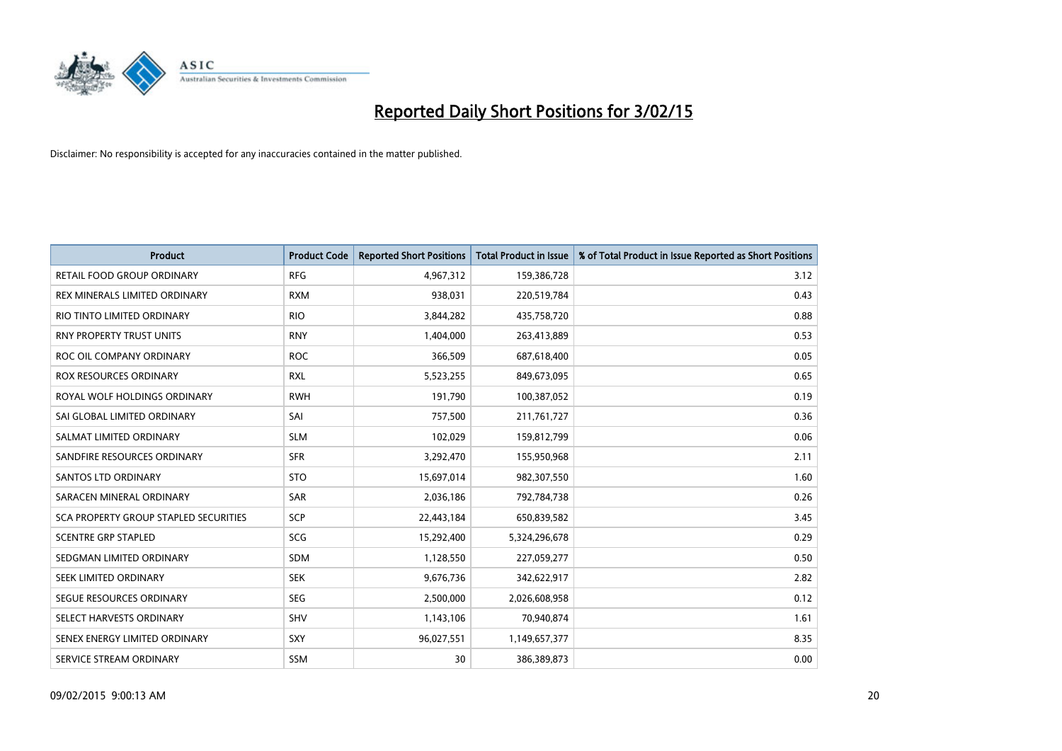

| <b>Product</b>                        | <b>Product Code</b> | <b>Reported Short Positions</b> | <b>Total Product in Issue</b> | % of Total Product in Issue Reported as Short Positions |
|---------------------------------------|---------------------|---------------------------------|-------------------------------|---------------------------------------------------------|
| <b>RETAIL FOOD GROUP ORDINARY</b>     | <b>RFG</b>          | 4,967,312                       | 159,386,728                   | 3.12                                                    |
| REX MINERALS LIMITED ORDINARY         | <b>RXM</b>          | 938,031                         | 220,519,784                   | 0.43                                                    |
| RIO TINTO LIMITED ORDINARY            | <b>RIO</b>          | 3,844,282                       | 435,758,720                   | 0.88                                                    |
| RNY PROPERTY TRUST UNITS              | <b>RNY</b>          | 1,404,000                       | 263,413,889                   | 0.53                                                    |
| ROC OIL COMPANY ORDINARY              | <b>ROC</b>          | 366,509                         | 687,618,400                   | 0.05                                                    |
| <b>ROX RESOURCES ORDINARY</b>         | <b>RXL</b>          | 5,523,255                       | 849,673,095                   | 0.65                                                    |
| ROYAL WOLF HOLDINGS ORDINARY          | <b>RWH</b>          | 191,790                         | 100,387,052                   | 0.19                                                    |
| SAI GLOBAL LIMITED ORDINARY           | SAI                 | 757,500                         | 211,761,727                   | 0.36                                                    |
| SALMAT LIMITED ORDINARY               | <b>SLM</b>          | 102,029                         | 159,812,799                   | 0.06                                                    |
| SANDFIRE RESOURCES ORDINARY           | <b>SFR</b>          | 3,292,470                       | 155,950,968                   | 2.11                                                    |
| SANTOS LTD ORDINARY                   | <b>STO</b>          | 15,697,014                      | 982,307,550                   | 1.60                                                    |
| SARACEN MINERAL ORDINARY              | <b>SAR</b>          | 2,036,186                       | 792,784,738                   | 0.26                                                    |
| SCA PROPERTY GROUP STAPLED SECURITIES | SCP                 | 22,443,184                      | 650,839,582                   | 3.45                                                    |
| <b>SCENTRE GRP STAPLED</b>            | SCG                 | 15,292,400                      | 5,324,296,678                 | 0.29                                                    |
| SEDGMAN LIMITED ORDINARY              | SDM                 | 1,128,550                       | 227,059,277                   | 0.50                                                    |
| SEEK LIMITED ORDINARY                 | <b>SEK</b>          | 9,676,736                       | 342,622,917                   | 2.82                                                    |
| SEGUE RESOURCES ORDINARY              | <b>SEG</b>          | 2,500,000                       | 2,026,608,958                 | 0.12                                                    |
| SELECT HARVESTS ORDINARY              | SHV                 | 1,143,106                       | 70,940,874                    | 1.61                                                    |
| SENEX ENERGY LIMITED ORDINARY         | <b>SXY</b>          | 96,027,551                      | 1,149,657,377                 | 8.35                                                    |
| SERVICE STREAM ORDINARY               | SSM                 | 30                              | 386,389,873                   | 0.00                                                    |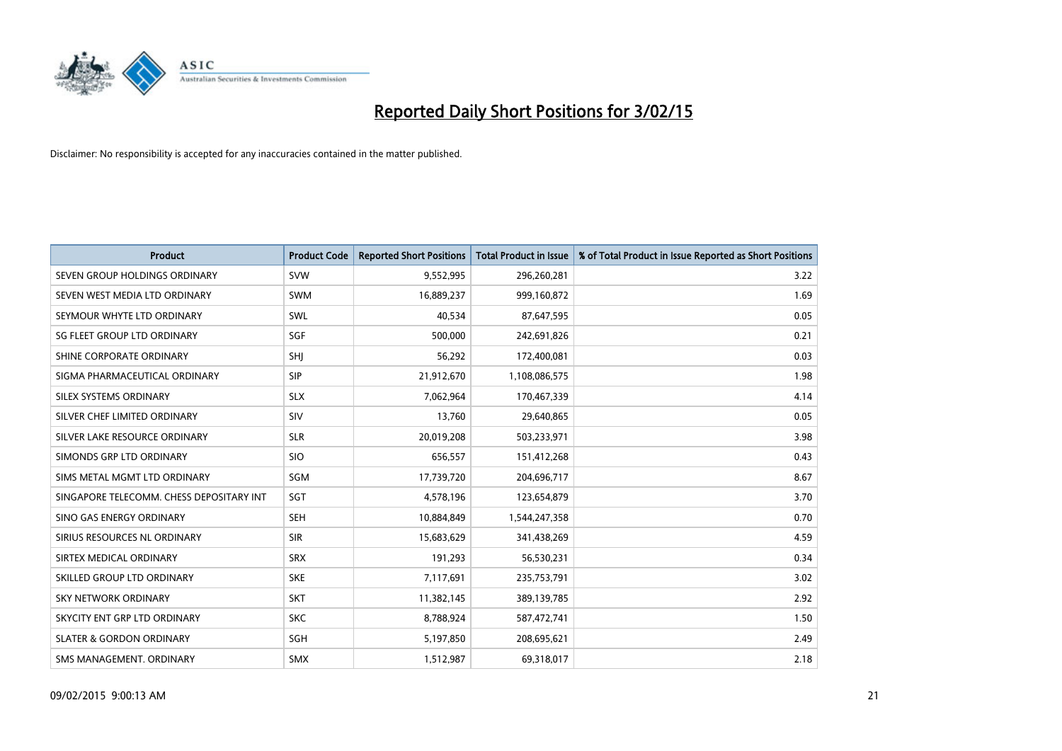

| <b>Product</b>                           | <b>Product Code</b> | <b>Reported Short Positions</b> | <b>Total Product in Issue</b> | % of Total Product in Issue Reported as Short Positions |
|------------------------------------------|---------------------|---------------------------------|-------------------------------|---------------------------------------------------------|
| SEVEN GROUP HOLDINGS ORDINARY            | <b>SVW</b>          | 9,552,995                       | 296,260,281                   | 3.22                                                    |
| SEVEN WEST MEDIA LTD ORDINARY            | <b>SWM</b>          | 16,889,237                      | 999,160,872                   | 1.69                                                    |
| SEYMOUR WHYTE LTD ORDINARY               | SWL                 | 40,534                          | 87,647,595                    | 0.05                                                    |
| SG FLEET GROUP LTD ORDINARY              | SGF                 | 500,000                         | 242,691,826                   | 0.21                                                    |
| SHINE CORPORATE ORDINARY                 | SHI                 | 56,292                          | 172,400,081                   | 0.03                                                    |
| SIGMA PHARMACEUTICAL ORDINARY            | <b>SIP</b>          | 21,912,670                      | 1,108,086,575                 | 1.98                                                    |
| SILEX SYSTEMS ORDINARY                   | <b>SLX</b>          | 7,062,964                       | 170,467,339                   | 4.14                                                    |
| SILVER CHEF LIMITED ORDINARY             | SIV                 | 13,760                          | 29,640,865                    | 0.05                                                    |
| SILVER LAKE RESOURCE ORDINARY            | <b>SLR</b>          | 20,019,208                      | 503,233,971                   | 3.98                                                    |
| SIMONDS GRP LTD ORDINARY                 | <b>SIO</b>          | 656,557                         | 151,412,268                   | 0.43                                                    |
| SIMS METAL MGMT LTD ORDINARY             | SGM                 | 17,739,720                      | 204,696,717                   | 8.67                                                    |
| SINGAPORE TELECOMM. CHESS DEPOSITARY INT | SGT                 | 4,578,196                       | 123,654,879                   | 3.70                                                    |
| SINO GAS ENERGY ORDINARY                 | <b>SEH</b>          | 10,884,849                      | 1,544,247,358                 | 0.70                                                    |
| SIRIUS RESOURCES NL ORDINARY             | <b>SIR</b>          | 15,683,629                      | 341,438,269                   | 4.59                                                    |
| SIRTEX MEDICAL ORDINARY                  | <b>SRX</b>          | 191,293                         | 56,530,231                    | 0.34                                                    |
| SKILLED GROUP LTD ORDINARY               | <b>SKE</b>          | 7,117,691                       | 235,753,791                   | 3.02                                                    |
| <b>SKY NETWORK ORDINARY</b>              | <b>SKT</b>          | 11,382,145                      | 389,139,785                   | 2.92                                                    |
| SKYCITY ENT GRP LTD ORDINARY             | <b>SKC</b>          | 8,788,924                       | 587,472,741                   | 1.50                                                    |
| <b>SLATER &amp; GORDON ORDINARY</b>      | SGH                 | 5,197,850                       | 208,695,621                   | 2.49                                                    |
| SMS MANAGEMENT, ORDINARY                 | <b>SMX</b>          | 1,512,987                       | 69,318,017                    | 2.18                                                    |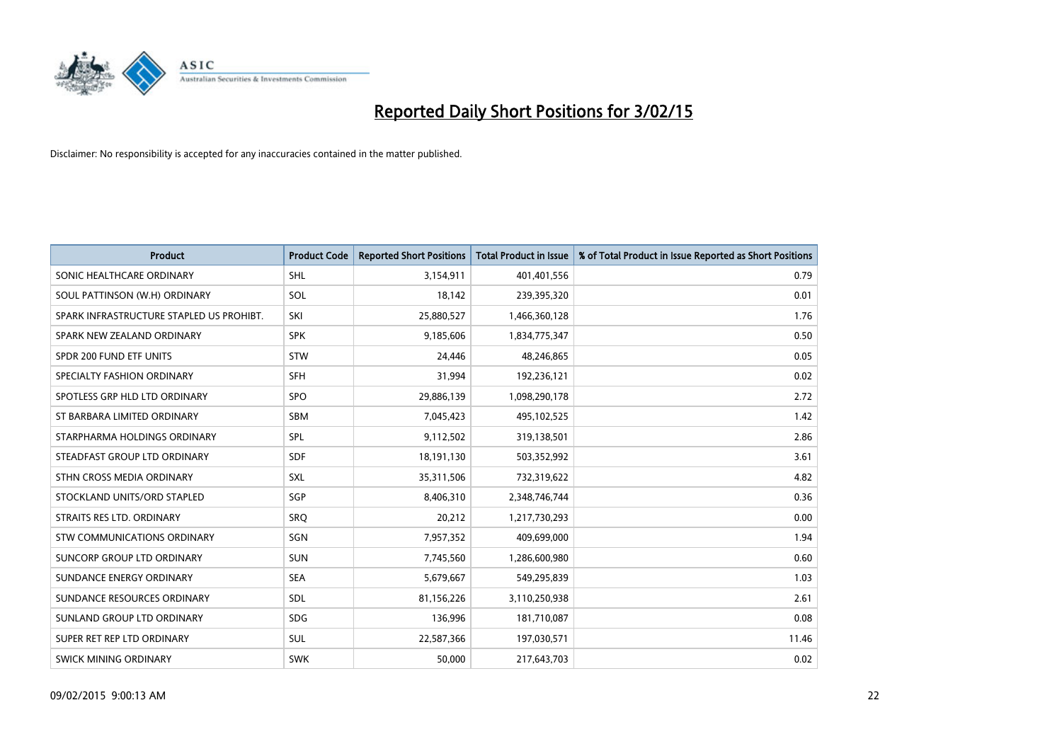

| <b>Product</b>                           | <b>Product Code</b> | <b>Reported Short Positions</b> | <b>Total Product in Issue</b> | % of Total Product in Issue Reported as Short Positions |
|------------------------------------------|---------------------|---------------------------------|-------------------------------|---------------------------------------------------------|
| SONIC HEALTHCARE ORDINARY                | <b>SHL</b>          | 3,154,911                       | 401,401,556                   | 0.79                                                    |
| SOUL PATTINSON (W.H) ORDINARY            | SOL                 | 18,142                          | 239,395,320                   | 0.01                                                    |
| SPARK INFRASTRUCTURE STAPLED US PROHIBT. | SKI                 | 25,880,527                      | 1,466,360,128                 | 1.76                                                    |
| SPARK NEW ZEALAND ORDINARY               | <b>SPK</b>          | 9,185,606                       | 1,834,775,347                 | 0.50                                                    |
| SPDR 200 FUND ETF UNITS                  | <b>STW</b>          | 24,446                          | 48,246,865                    | 0.05                                                    |
| SPECIALTY FASHION ORDINARY               | <b>SFH</b>          | 31,994                          | 192,236,121                   | 0.02                                                    |
| SPOTLESS GRP HLD LTD ORDINARY            | SPO                 | 29,886,139                      | 1,098,290,178                 | 2.72                                                    |
| ST BARBARA LIMITED ORDINARY              | SBM                 | 7,045,423                       | 495,102,525                   | 1.42                                                    |
| STARPHARMA HOLDINGS ORDINARY             | SPL                 | 9,112,502                       | 319,138,501                   | 2.86                                                    |
| STEADFAST GROUP LTD ORDINARY             | <b>SDF</b>          | 18,191,130                      | 503,352,992                   | 3.61                                                    |
| STHN CROSS MEDIA ORDINARY                | <b>SXL</b>          | 35,311,506                      | 732,319,622                   | 4.82                                                    |
| STOCKLAND UNITS/ORD STAPLED              | SGP                 | 8,406,310                       | 2,348,746,744                 | 0.36                                                    |
| STRAITS RES LTD. ORDINARY                | SRO                 | 20,212                          | 1,217,730,293                 | 0.00                                                    |
| STW COMMUNICATIONS ORDINARY              | SGN                 | 7,957,352                       | 409,699,000                   | 1.94                                                    |
| SUNCORP GROUP LTD ORDINARY               | <b>SUN</b>          | 7,745,560                       | 1,286,600,980                 | 0.60                                                    |
| SUNDANCE ENERGY ORDINARY                 | <b>SEA</b>          | 5,679,667                       | 549,295,839                   | 1.03                                                    |
| SUNDANCE RESOURCES ORDINARY              | SDL                 | 81,156,226                      | 3,110,250,938                 | 2.61                                                    |
| SUNLAND GROUP LTD ORDINARY               | <b>SDG</b>          | 136,996                         | 181,710,087                   | 0.08                                                    |
| SUPER RET REP LTD ORDINARY               | <b>SUL</b>          | 22,587,366                      | 197,030,571                   | 11.46                                                   |
| SWICK MINING ORDINARY                    | <b>SWK</b>          | 50,000                          | 217,643,703                   | 0.02                                                    |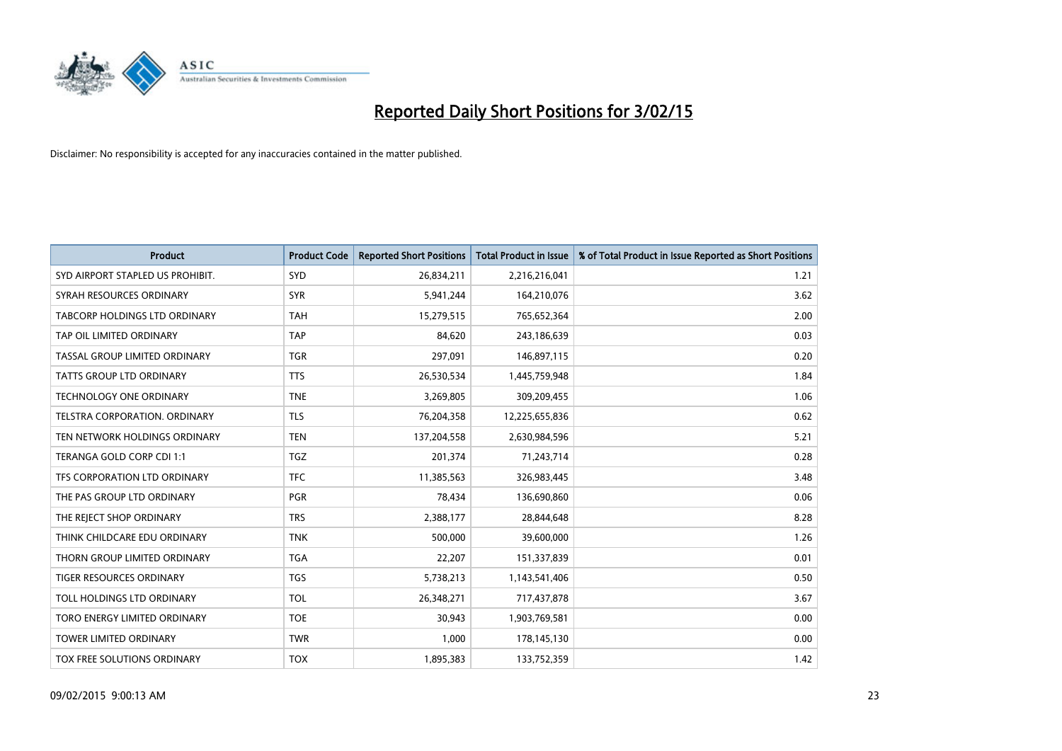

| <b>Product</b>                       | <b>Product Code</b> | <b>Reported Short Positions</b> | <b>Total Product in Issue</b> | % of Total Product in Issue Reported as Short Positions |
|--------------------------------------|---------------------|---------------------------------|-------------------------------|---------------------------------------------------------|
| SYD AIRPORT STAPLED US PROHIBIT.     | <b>SYD</b>          | 26,834,211                      | 2,216,216,041                 | 1.21                                                    |
| SYRAH RESOURCES ORDINARY             | <b>SYR</b>          | 5,941,244                       | 164,210,076                   | 3.62                                                    |
| <b>TABCORP HOLDINGS LTD ORDINARY</b> | <b>TAH</b>          | 15,279,515                      | 765,652,364                   | 2.00                                                    |
| TAP OIL LIMITED ORDINARY             | <b>TAP</b>          | 84,620                          | 243,186,639                   | 0.03                                                    |
| TASSAL GROUP LIMITED ORDINARY        | <b>TGR</b>          | 297,091                         | 146,897,115                   | 0.20                                                    |
| TATTS GROUP LTD ORDINARY             | <b>TTS</b>          | 26,530,534                      | 1,445,759,948                 | 1.84                                                    |
| <b>TECHNOLOGY ONE ORDINARY</b>       | <b>TNE</b>          | 3,269,805                       | 309,209,455                   | 1.06                                                    |
| TELSTRA CORPORATION, ORDINARY        | <b>TLS</b>          | 76,204,358                      | 12,225,655,836                | 0.62                                                    |
| TEN NETWORK HOLDINGS ORDINARY        | <b>TEN</b>          | 137,204,558                     | 2,630,984,596                 | 5.21                                                    |
| TERANGA GOLD CORP CDI 1:1            | <b>TGZ</b>          | 201,374                         | 71,243,714                    | 0.28                                                    |
| TFS CORPORATION LTD ORDINARY         | <b>TFC</b>          | 11,385,563                      | 326,983,445                   | 3.48                                                    |
| THE PAS GROUP LTD ORDINARY           | <b>PGR</b>          | 78,434                          | 136,690,860                   | 0.06                                                    |
| THE REJECT SHOP ORDINARY             | <b>TRS</b>          | 2,388,177                       | 28,844,648                    | 8.28                                                    |
| THINK CHILDCARE EDU ORDINARY         | <b>TNK</b>          | 500,000                         | 39,600,000                    | 1.26                                                    |
| THORN GROUP LIMITED ORDINARY         | <b>TGA</b>          | 22,207                          | 151,337,839                   | 0.01                                                    |
| TIGER RESOURCES ORDINARY             | <b>TGS</b>          | 5,738,213                       | 1,143,541,406                 | 0.50                                                    |
| TOLL HOLDINGS LTD ORDINARY           | <b>TOL</b>          | 26,348,271                      | 717,437,878                   | 3.67                                                    |
| TORO ENERGY LIMITED ORDINARY         | <b>TOE</b>          | 30,943                          | 1,903,769,581                 | 0.00                                                    |
| <b>TOWER LIMITED ORDINARY</b>        | <b>TWR</b>          | 1,000                           | 178,145,130                   | 0.00                                                    |
| TOX FREE SOLUTIONS ORDINARY          | <b>TOX</b>          | 1,895,383                       | 133,752,359                   | 1.42                                                    |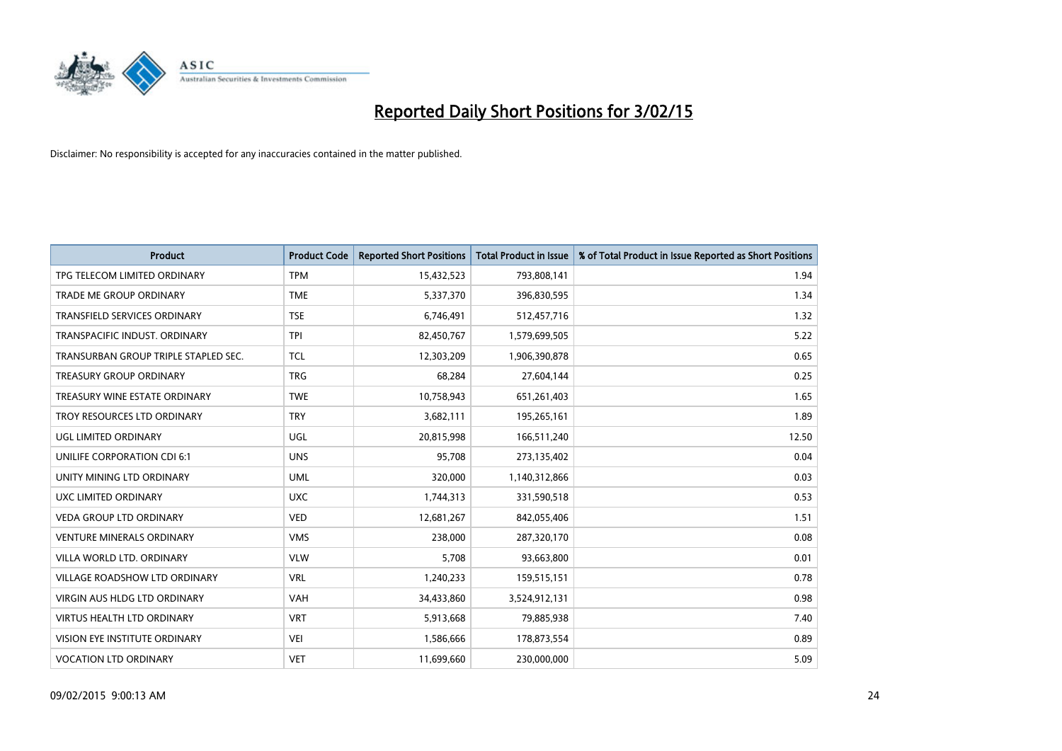

| <b>Product</b>                       | <b>Product Code</b> | <b>Reported Short Positions</b> | <b>Total Product in Issue</b> | % of Total Product in Issue Reported as Short Positions |
|--------------------------------------|---------------------|---------------------------------|-------------------------------|---------------------------------------------------------|
| TPG TELECOM LIMITED ORDINARY         | <b>TPM</b>          | 15,432,523                      | 793,808,141                   | 1.94                                                    |
| TRADE ME GROUP ORDINARY              | <b>TME</b>          | 5,337,370                       | 396,830,595                   | 1.34                                                    |
| TRANSFIELD SERVICES ORDINARY         | <b>TSE</b>          | 6,746,491                       | 512,457,716                   | 1.32                                                    |
| TRANSPACIFIC INDUST, ORDINARY        | <b>TPI</b>          | 82,450,767                      | 1,579,699,505                 | 5.22                                                    |
| TRANSURBAN GROUP TRIPLE STAPLED SEC. | TCL                 | 12,303,209                      | 1,906,390,878                 | 0.65                                                    |
| <b>TREASURY GROUP ORDINARY</b>       | <b>TRG</b>          | 68,284                          | 27,604,144                    | 0.25                                                    |
| TREASURY WINE ESTATE ORDINARY        | <b>TWE</b>          | 10,758,943                      | 651,261,403                   | 1.65                                                    |
| TROY RESOURCES LTD ORDINARY          | <b>TRY</b>          | 3,682,111                       | 195,265,161                   | 1.89                                                    |
| UGL LIMITED ORDINARY                 | UGL                 | 20,815,998                      | 166,511,240                   | 12.50                                                   |
| UNILIFE CORPORATION CDI 6:1          | <b>UNS</b>          | 95,708                          | 273,135,402                   | 0.04                                                    |
| UNITY MINING LTD ORDINARY            | <b>UML</b>          | 320,000                         | 1,140,312,866                 | 0.03                                                    |
| UXC LIMITED ORDINARY                 | <b>UXC</b>          | 1,744,313                       | 331,590,518                   | 0.53                                                    |
| <b>VEDA GROUP LTD ORDINARY</b>       | <b>VED</b>          | 12,681,267                      | 842,055,406                   | 1.51                                                    |
| <b>VENTURE MINERALS ORDINARY</b>     | <b>VMS</b>          | 238,000                         | 287,320,170                   | 0.08                                                    |
| VILLA WORLD LTD, ORDINARY            | <b>VLW</b>          | 5,708                           | 93,663,800                    | 0.01                                                    |
| VILLAGE ROADSHOW LTD ORDINARY        | <b>VRL</b>          | 1,240,233                       | 159,515,151                   | 0.78                                                    |
| VIRGIN AUS HLDG LTD ORDINARY         | VAH                 | 34,433,860                      | 3,524,912,131                 | 0.98                                                    |
| <b>VIRTUS HEALTH LTD ORDINARY</b>    | <b>VRT</b>          | 5,913,668                       | 79,885,938                    | 7.40                                                    |
| VISION EYE INSTITUTE ORDINARY        | <b>VEI</b>          | 1,586,666                       | 178,873,554                   | 0.89                                                    |
| <b>VOCATION LTD ORDINARY</b>         | <b>VET</b>          | 11,699,660                      | 230,000,000                   | 5.09                                                    |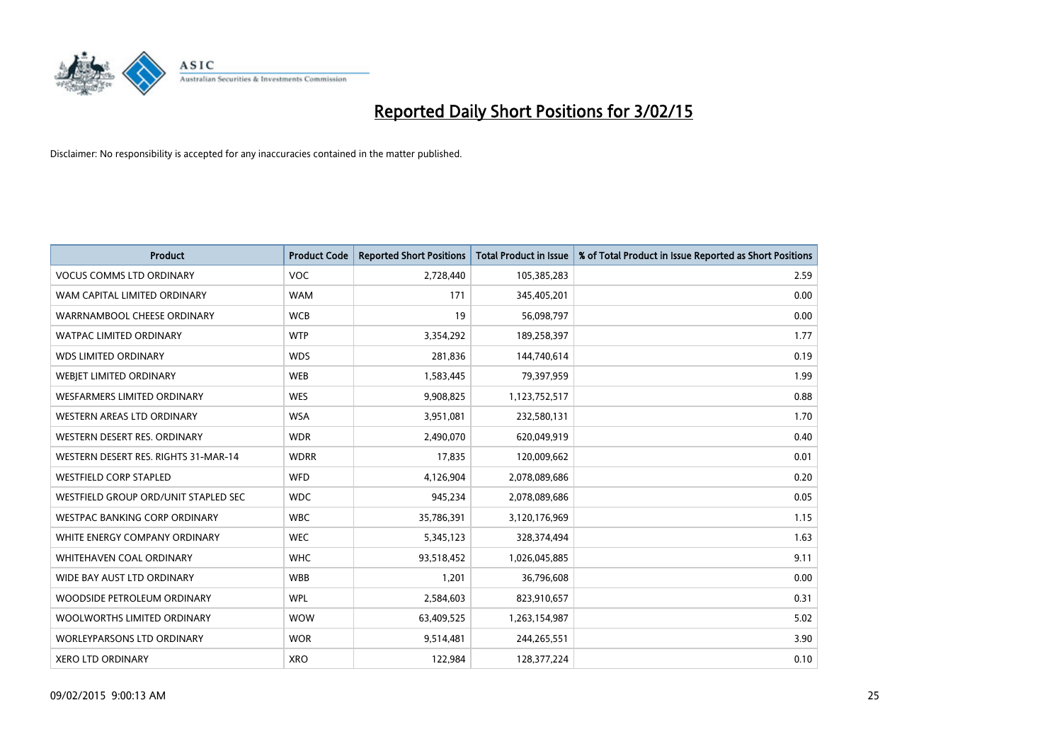

| <b>Product</b>                       | <b>Product Code</b> | <b>Reported Short Positions</b> | <b>Total Product in Issue</b> | % of Total Product in Issue Reported as Short Positions |
|--------------------------------------|---------------------|---------------------------------|-------------------------------|---------------------------------------------------------|
| <b>VOCUS COMMS LTD ORDINARY</b>      | <b>VOC</b>          | 2,728,440                       | 105,385,283                   | 2.59                                                    |
| WAM CAPITAL LIMITED ORDINARY         | <b>WAM</b>          | 171                             | 345,405,201                   | 0.00                                                    |
| WARRNAMBOOL CHEESE ORDINARY          | <b>WCB</b>          | 19                              | 56,098,797                    | 0.00                                                    |
| WATPAC LIMITED ORDINARY              | <b>WTP</b>          | 3,354,292                       | 189,258,397                   | 1.77                                                    |
| <b>WDS LIMITED ORDINARY</b>          | <b>WDS</b>          | 281,836                         | 144,740,614                   | 0.19                                                    |
| WEBJET LIMITED ORDINARY              | <b>WEB</b>          | 1,583,445                       | 79,397,959                    | 1.99                                                    |
| <b>WESFARMERS LIMITED ORDINARY</b>   | <b>WES</b>          | 9,908,825                       | 1,123,752,517                 | 0.88                                                    |
| WESTERN AREAS LTD ORDINARY           | <b>WSA</b>          | 3,951,081                       | 232,580,131                   | 1.70                                                    |
| WESTERN DESERT RES. ORDINARY         | <b>WDR</b>          | 2,490,070                       | 620,049,919                   | 0.40                                                    |
| WESTERN DESERT RES. RIGHTS 31-MAR-14 | <b>WDRR</b>         | 17,835                          | 120,009,662                   | 0.01                                                    |
| WESTFIELD CORP STAPLED               | <b>WFD</b>          | 4,126,904                       | 2,078,089,686                 | 0.20                                                    |
| WESTFIELD GROUP ORD/UNIT STAPLED SEC | <b>WDC</b>          | 945,234                         | 2,078,089,686                 | 0.05                                                    |
| WESTPAC BANKING CORP ORDINARY        | <b>WBC</b>          | 35,786,391                      | 3,120,176,969                 | 1.15                                                    |
| WHITE ENERGY COMPANY ORDINARY        | <b>WEC</b>          | 5,345,123                       | 328,374,494                   | 1.63                                                    |
| WHITEHAVEN COAL ORDINARY             | <b>WHC</b>          | 93,518,452                      | 1,026,045,885                 | 9.11                                                    |
| WIDE BAY AUST LTD ORDINARY           | <b>WBB</b>          | 1,201                           | 36,796,608                    | 0.00                                                    |
| WOODSIDE PETROLEUM ORDINARY          | <b>WPL</b>          | 2,584,603                       | 823,910,657                   | 0.31                                                    |
| WOOLWORTHS LIMITED ORDINARY          | <b>WOW</b>          | 63,409,525                      | 1,263,154,987                 | 5.02                                                    |
| WORLEYPARSONS LTD ORDINARY           | <b>WOR</b>          | 9,514,481                       | 244,265,551                   | 3.90                                                    |
| <b>XERO LTD ORDINARY</b>             | <b>XRO</b>          | 122,984                         | 128,377,224                   | 0.10                                                    |